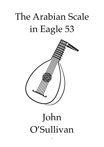# The Arabian Scale in Eagle 53



## John O'Sullivan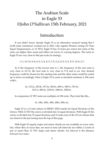## The Arabian Scale in Eagle 53 ©John O'Sullivan 15th February, 2021

#### Introduction

 If you didn't know already Eagle 53 is an alternative musical tuning that I (with some assistance) worked out in 2016. Like regular Western tuning (12 Tone Equal Temperament, or 12 TET), Eagle 53 has 12 tones per octave but some of the notes are higher than usual and others are lower in varying degrees. The notes in Eagle 53 are very close to this just scale (or tuning)...

1/1, 16/15, 9/8, 6/5, 5/4, 4/3, 7/5, 3/2, 8/5, 5/3, 9/5, 15/8, 2/1

 So if the frequency of the lowest note is 1, the frequency of the next note is very close to 16/15, the next note is very close to 9/8 and so on. Any desired frequency could be chosen for the starting note and the other notes would be scaled up or down accordingly. Here is Eagle 53 in cents (a standard semitone is 100 cents wide)...

> 0c, 113.2c, 203.8c, 317.0c, 384.9c, 498.1c, 588.7c, 701.9c, 815.1c, 883.0c, 1018.9c, 1086.8c, 1200.0c.

In comparison 12 TET notes are multiples of 100 cents. They look like this...

0c, 100c, 200c, 300c, 400c, 500c etc.

 Eagle 53 is a 12 note subset of 53EDO. EDO stands for Equal Divisions of the Octave. With 12 TET the octave is divided into 12 equal divisions. With Eagle 53 the octave is divided into 53 equal divisions and 12 notes (out of the 53) are chosen that are closest to the just tuning near the top of this page.

 With Eagle 53 regular major and minor chords are not available on every note, but, where they *do* occur they are more in tune (all intervals are within 1.4 cents of just or pure) than 12 TET major and minor chords. An interval is the distance between two notes.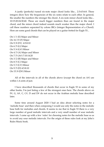A justly (perfectly) tuned six-note major chord looks like... 2:3:4:5:6:8. These integers show how the frequencies of the six notes relate to each other. In general, the smaller the numbers the stronger the chord. A six-note minor chord looks like... 10:15:20:24:30:40. These are much bigger numbers than are found in the major chord, and the minor chord indeed sounds much weaker than the major chord. I call these numbers separated by colons IRCs (integer Representation of a Chord). Here are some good chords that can be played on a guitar fretted for Eagle 53...

On 1/1 (E) Major and Minor On 16/15 (F) Major On 9/8 (F#) 4:5:8:10 On  $6/5$  (G) Major On  $5/4$  (G#) Minor On 4/3 (A) Major and Minor On 7/5 (A#) 7:10:14:20 On 3/2 (B) Major and Minor On  $8/5$  (C) Major On  $5/3$  (C#) Minor On 9/5 (D) 4:5:8:10 On 15/8 (D#) Minor

All of the intervals in all of the chords above (except the chord on  $A#$ ) are within 1.4 cents of just.

 I have described thousands of chords that occur in Eagle 53 in some of my other books, I'm just listing a few of the strongest ones here. The chords above on F#, G, A#, C, C#, D and D# do not occur in the Arabian melodic base described later.

 Some time around August 2020 I had an idea about selecting notes for a 'melodic base' and then when composing I would use only the notes in the melodic base both for melodies and chords. It seems to me that in Eagle 53 there is a very large number of good melodic intervals and a very small number of sour melodic intervals. I came up with a few 'rules' for choosing notes for the melodic base so as to avoid any sour melodic intervals. For the origin of these rules look at my John's Rules Music book.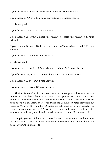If you choose an A, avoid D 7 notes below it and D 19 notes below it.

If you choose an A#, avoid F 7 notes above it and F 19 notes above it.

B is always good.

If you choose a C, avoid C# 1 note above it.

If you choose a  $C#$ , avoid C 1 note below it and F# 7 notes below it and F# 19 notes below it.

If you choose a D, avoid  $D# 1$  note above it and A 7 notes above it and A 19 notes above it.

If you choose a D#, avoid D 1 note below it.

E is always good.

If you choose an F, avoid A# 7 notes below it and and A# 19 notes below it.

If you choose an F#, avoid C# 7 notes above it and C# 19 notes above it.

If you choose a G, avoid G# 1 note above it.

If you choose a G#, avoid G 1 note below it.

 The idea is to make a list of notes over a certain range (say three octaves for a guitar) and then choose the notes you want. When you choose a note draw a circle around it. Look at the list of rules above. If you choose an F# then The C# seven notes above it is out (draw an 'X' over it) and the C# nineteen notes above it is out (draw an 'X' over it). The other C# notes are still good (so far). Obviously you cannot choose a note with an 'X' over it. Keep going until you have all the notes you want or until every note has either a circle around it or an 'X' drawn over it.

 Happily, you get all the E and B notes for free. It seems to me that there aren't any notes in Eagle 53 that do not pair nicely, melodically, with any of the E or B notes (assuming  $E'$  is on  $1/1$ ).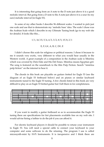It is interesting that going from an A note to the D note just above it is a good melodic interval. But going from a D note to the A note just above it is a sour (to my ears) melodic interval (in Eagle 53).

 In some of my other books I describe 96 different scales. I wanted to pick just one scale and use that to demonstrate my 'melodic base' idea. The scale I chose was the Arabian Scale which I describe in my Ultimate Tuning book (go to my web site for details). It looks like this...

> 1/1, 16/15, 5/4, 4/3, 3/2, 8/5, 15/8, 2/1 E, F, G#, A, B, C, D#, E

 I didn't choose this scale for religious or political reasons. I chose it because to me it sounds very exotic, very different to what you would hear usually in the Western world. A great example of a composition in the Arabian scale is Misirlou which was covered by Dick Dale and His Del-Tones. Misirlou means Egyptian girl. The song is featured on the soundtrack to the film Pulp Fiction. Search "misirlou pulp fiction" on the internet to hear it.

 The chords in this book are playable on guitars fretted for Eagle 53 (see the diagram of an Eagle 53 fretboard below) and on pianos or similar keyboard instruments tuned to the Eagle 53 tuning. A few chords listed in this book are very difficult to play on an Eagle 53 fretted guitar but I left them in for completeness.



 If you want to modify a guitar fretboard so as to accommodate the Eagle 53 tuning there are specifications for fret placements available free on my web site. I would advise hiring a luthier to do the job if you can afford it.

 For electric keyboard players it should be possible to retune your instrument to Eagle 53. You will need a special cable to connect your keyboard to your computer and some software to do the retuning. The program I use is called microsynth-mini by H-Pi Instruments. It is inexpensive and I think there are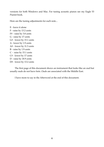versions for both Windows and Mac. For tuning acoustic pianos see my Eagle 53 Pianist book.

Here are the tuning adjustments for each note...

E - leave it alone F - raise by 13.2 cents F# - raise by 3.8 cents G - raise by 17 cents G# - lower by 15.1 cents A - lower by 1.9 cents A# - lower by 11.3 cents B - raise by 1.9 cents C - raise by 15.1 cents C# - lower by 17 cents D - raise by 18.9 cents D# - lower by 13.2 cents

 The first page of this document shows an instrument that looks like an oud but usually ouds do not have frets. Ouds are associated with the Middle East.

I have more to say in the Afterword at the end of this document.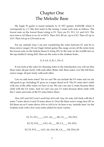### Chapter One The Melodic Base

 My Eagle 53 guitar is tuned similarly to 12 TET guitars: EADGBE where E corresponds to 1/1 (the first note) in the tuning. I name each note as follows. The lowest note on the lowest (bass) string is E1. Next are F1, F#1, G1 and G#1. The next note is A2 (there is no A1 to D#1). Then A#2, B2 etc. up to G#2. Then A3 up to G#3. Then A4 up to G#4 and so on.

 For my melodic base I am just considering the notes between E1 and E4 (a three-octave range). On my Eagle fretted guitar this range covers all the notes from the lowest note on the bottom (bass) E string (E1) to the note on the twelfth fret on the top (treble) E string (E4). Here are the notes in the Arabian Scale...

E, F, G#, A, B, C, D#, E.

 If you look at the rules for choosing notes in the introduction you will see that these notes all pair nicely with each other. Better still, these notes, over the full three octave range, all pair nicely with each other.

 Can we add more notes? Yes we can! We can include the F# notes and we are still good to go. Including F# gives us a major chord on B. The F# notes don't clash with any of the other notes we have so far. We can't use any G notes because these clash with the G# notes. And we can't use any C# notes because these clash with the C notes and some of the F# notes below them.

 Also A#2 and A#3 won't work but A#4 will. Any A# note will clash with the F notes 7 notes above it and 19 notes above it. Over the three octave range here (E1 to E4) there are no F notes above A#4 so A#4 is in. So here is my 'melodic base' for the Arabian scale with a few extra notes added for more variety...

> E1, F1, F#1,\_\_\_\_, G#1, A2,\_\_\_, B2, C2,\_\_\_, D2, D#2, E2, F2, F#2,\_\_\_, G#2, A3,\_\_\_, B3, C3,\_\_\_, D3, D#3, E3, F3, F#3,\_\_\_, G#3, A4, A#4, B4, C4,\_\_\_, D4, D#4, E4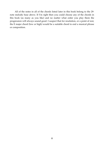All of the notes in all of the chords listed later in this book belong to the 29 note melodic base above. If I'm right then you could choose any of the chords in this book (as many as you like) and no matter what order you play them the progression will always sound good. I suspect that for resolution, or a point of rest, the E major chord (low or high) would be a suitable chord to end a musical phrase or composition.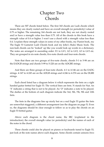## Chapter Two Chords

 There are 507 chords listed below. The first 343 chords are Lush chords which means they are clearly rooted and have an overall strength (or periodicity) value of 0.75 or higher. The remaining 164 chords are not lush, they are not clearly rooted and/or have a strength value less than 0.75. All of the chords in this book have a strength value of 0.4 or higher. I won't use a chord with a strength value less than 0.4. I explain these strength values in some of my other books, my Pianist book, my The Eagle 53 Guitarist Lush Chords book and my John's Rules Music book. The non-lush chords can be 'looked' up like you would look up words in a dictionary. The notes are arranged in ascending order: E1 to G#1, A2 to G#2, A3 to G#3 etc. They are grouped in six-note chords, five-note chords and four-note chords.

 Note that there are two groups of five-note chords, chords 5-1 to 5-98 are on the EADGB strings and chords 5-99 to 5-220 are on the ADGBE strings.

 And there are three groups of four-note chords. 4-1 to 4-146 are on the EADG strings. 4-147 to 4-245 are on the ADGB strings and 4-246 to 4-374 are on the DGBE strings.

 Each chord listed has a diagram below it which represents the frets on a right handed guitar fretted for Eagle 53. The vertical lines are frets. N stands for Nut. An 'X' indicates a string that is not to be played. An 'O' indicates a note to be played. The dashes at the bottom of each diagram indicate the 3rd, 5th, 7th, 9th and 12th frets.

 The frets in the diagrams line up nicely but on a real Eagle 53 guitar the frets are somewhat staggered, a different arrangement (see the diagram on page 5). Even so, the diagrams should be clear enough to follow so as to play the chords on an Eagle 53 fretted guitar.

 Above each diagram is the chord name, the IRC (explained in the introduction), the overall strength value (or periodicity) and the names of each of the notes in the chord.

 These chords could also be played on pianos or keyboards tuned to Eagle 53, just look at the note names above each diagram. Some chords contain unisons (two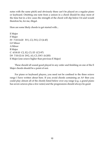notes with the same pitch) and obviously these can't be played on a regular piano or keyboard. Omitting one note from a unison in a chord should be okay most of the time but in a few cases the strength of the chord will dip below 0.4 and would therefore be, for me, illegal.

Here are some likely chords to get started with...

E Major F Major F# 7:10:14:20 F#1, C2, F#2, C3 (4-45) G# Minor A Minor B Major C 4:5:8:10 C2, E2, C3, E3 (C2-97) D# 7:10:12:14 D#2, A3, C3, D#3 (4-205) E Major (one octave higher than previous E Major)

 These should all sound good played in any order and finishing on one of the E Major chords should be a point of rest.

 For piano or keyboard players, you need not be confined to the three octave range I have written about here. If you avoid chords containing an A# then you could play almost all of the chords listed below over *any* range (e.g. a grand piano has seven octaves plus a few notes) and the progressions should always be good.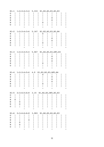| $E1-1$<br>O<br>O<br>N<br>N<br>N<br>O                |                                             |     | 1:2:3:4:3:4 5.333 E1, E2, B3, E3, B3, E3<br>O<br>$\mathsf O$<br>O |  |
|-----------------------------------------------------|---------------------------------------------|-----|-------------------------------------------------------------------|--|
| N<br>O<br>N<br>N<br>N<br>$\mathsf O$                |                                             |     | E1-2 1:2:3:4:3:6 5.167 E1, E2, B3, E3, B3, B4<br>O<br>O<br>O<br>O |  |
| $E1-3$<br>O<br>N<br>N<br>N<br>N<br>$\mathsf O$      |                                             |     | $1:2:3:4:5:4$ 5.067 E1, E2, B3, E3, G#3, E3<br>O<br>O<br>O<br>Ő   |  |
| $E1-4$                                              | 1:2:3:4:5:6                                 | 4.9 | E1, E2, B3, E3, G#3, B4<br>O                                      |  |
| N<br>N<br>N<br>N<br>N<br>$\circ$                    |                                             |     | O<br>O<br>O<br>O                                                  |  |
| O<br>$\mathsf O$<br>O<br>N<br>N<br>N<br>$\mathsf O$ | $E1-5$ 2:3:4:5:6:8 3.15<br>O<br>$\mathsf O$ |     | E1, B2, E2, G#2, B3, E3                                           |  |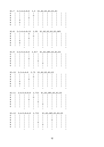| $E1-7$<br>O<br>N<br>N<br>N<br>N<br>O       | 2:3:4:6:8:8<br>O<br>O | O                         | 3.0       |                    | E1, B2, E2, B3, E3, E3                            |  |
|--------------------------------------------|-----------------------|---------------------------|-----------|--------------------|---------------------------------------------------|--|
| $E1-8$<br>N<br>N<br>N<br>N<br>N<br>O       | O<br>O                | 2:3:4:6:8:10<br>0<br>O    | 2.95<br>Ő |                    | E1, B2, E2, B3, E3, G#3                           |  |
| $E1-9$<br>$\circ$<br>O<br>N<br>N<br>N<br>O |                       | $2:4:5:6:6:8$ 2.817<br>O  | O         | Ő                  | E1, E2, G#2, B3, B3, E3                           |  |
| $E1-10$<br>Χ<br>N<br>N<br>N<br>Ν<br>O      | 2:3:4:6:8<br>O<br>0   | Ő                         | 2.75<br>Ő | E1, B2, E2, B3, E3 |                                                   |  |
| $\mathsf O$<br>N<br>N<br>N<br>N<br>O       |                       | 0                         | O<br>0    | O                  | E1-11 $2:4:5:6:8:8$ 2.733 E1, E2, G#2, B3, E3, E3 |  |
| O<br>$\mathsf O$<br>N<br>N                 |                       | $E1-12$ 2:4:5:8:6:8 2.733 |           |                    | E1, E2, G#2, E3, B3, E3<br>0                      |  |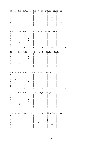| $E1-13$<br>O<br>$\mathsf O$<br>N<br>N<br>N<br>O           | 2:5:6:8:6:8                                         | 2.567 | E1, G#2, B3, E3, B3, E3<br>O<br>O |  |
|-----------------------------------------------------------|-----------------------------------------------------|-------|-----------------------------------|--|
| $E1-14$<br>X<br>O<br>N<br>N<br>N<br>$\mathsf O$           | 4:6:9:12:12<br>O<br>0<br>O                          | 1.389 | E1, B2, F#2, B3, B3               |  |
| $E1-15$<br>Χ<br>N<br>N<br>N<br>N<br>$\mathsf O$           | 4:6:9:12:15<br>O<br>O<br>O                          | 1.356 | E1, B2, F#2, B3, D#3              |  |
| $E1-16$<br>X<br>X<br>N<br>O<br>N<br>N<br>$\circ$          | $4:6:9:10$ 1.256<br>O                               |       | E1, B2, F#2, G#2                  |  |
| X<br>X<br>N<br>N<br>N<br>$\mathsf O$                      | $E1-17$ 4:6:9:12<br>$\mathsf O$<br>$\mathsf O$<br>O | 1.222 | E1, B2, F#2, B3                   |  |
| $E1-18$<br>X<br>$\mathbf O$<br>N<br>N<br>N<br>$\mathsf O$ | $4:9:10:15:12$ 1.222                                | O     | E1,F#2,G#2,D#3,B3<br>O<br>O       |  |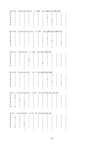| $E1 - 19$<br>X<br>$\mathsf O$<br>N<br>N<br>N<br>O   |                                     | $4:9:12:15:12$ 1.189 | E1, F#2, B3, D#3, B3<br>υ<br>O<br>O                      |   |
|-----------------------------------------------------|-------------------------------------|----------------------|----------------------------------------------------------|---|
| $E1-20$<br>X<br>O<br>N<br>N<br>N<br>O               |                                     |                      | $4:10:12:15:12$ $1.167$ $E1, G#2, B3, D#3, B3$<br>Ő<br>O | 0 |
| Χ<br>X<br>N<br>N<br>N<br>O                          | $E1-21$ 4:8:9:12 1.139              | O<br>O               | E1, E2, F#2, B3<br>Ő                                     |   |
| Χ<br>Χ<br>N<br>N<br>N<br>O                          | $E1-22$ 4:10:12:15 1.0              |                      | E1, G#2, B3, D#3<br>Ő<br>O                               | O |
| N<br>$\mathsf O$<br>O<br>N<br>N<br>N<br>N<br>N<br>O | $\mathsf O$<br>0<br>0               |                      | F1-1 2:3:4:5:6:8 3.15 F1, C2, F2, A3, C3, F3             |   |
| Χ<br>N<br>O<br>N<br>N<br>N<br>N<br>O                | $F1-2$ 2:3:4:5:6 2.9<br>0<br>O<br>O |                      | F1, C2, F2, A3, C3                                       |   |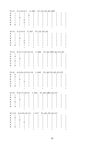| $F1-3$                        | $2:3:4:5:7$ 2.852 F1, C2, F2, A3, D#3             |
|-------------------------------|---------------------------------------------------|
| X                             |                                                   |
| N                             |                                                   |
| N                             | O                                                 |
| N                             | O                                                 |
| N                             | O                                                 |
| N<br>O                        |                                                   |
|                               |                                                   |
|                               |                                                   |
|                               | $F1-4$ 2:3:4:5 2.567 F1, C2, F2, A3               |
| X                             |                                                   |
| X                             |                                                   |
| N                             | O                                                 |
| N                             | O                                                 |
| N                             | O                                                 |
| N<br>0                        |                                                   |
|                               |                                                   |
| $F1-5$                        | $4:5:7:10:12:15$ 1.686<br>F1, A2, D#2, A3, C3, E3 |
| 0                             |                                                   |
| N<br>$\mathbf O$              |                                                   |
| $\mathbf{I}$<br>N             | O                                                 |
| N<br>O                        |                                                   |
| O<br>$\overline{ }$           |                                                   |
| N<br>O                        |                                                   |
|                               |                                                   |
|                               |                                                   |
| $F1-6$                        | $4:5:8:10:12:16$ 1.642<br>F1, A2, F2, A3, C3, F3  |
| N<br>O                        |                                                   |
| N<br>$\mathsf O$              |                                                   |
| N                             | 0                                                 |
| N<br>0                        | Ő                                                 |
| N<br>O                        |                                                   |
|                               |                                                   |
|                               |                                                   |
|                               | F1-8 $4:5:7:10:12$ 1.552 F1, A2, D#2, A3, C3      |
| Χ                             |                                                   |
| N<br>O                        |                                                   |
| $\mathbf{I}$<br>N             | O                                                 |
| N<br>$\mathsf O$              |                                                   |
| $\overline{ }$<br>$\mathsf O$ |                                                   |
| N<br>O                        |                                                   |
|                               |                                                   |
|                               |                                                   |
| $F1-10$<br>X                  | $4:5:8:10:12$ 1.517<br>F1, A2, F2, A3, C3         |
| N<br>O                        |                                                   |
| N                             | O                                                 |
| N                             | O                                                 |
| $\mathsf O$                   |                                                   |
| N<br>O                        |                                                   |
|                               |                                                   |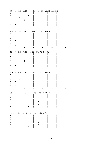| $F1-12$                       | 4:5:8:10:14<br>1.493<br>F1, A2, F2, A3, D#3          |  |
|-------------------------------|------------------------------------------------------|--|
| X                             |                                                      |  |
| ${\bf N}$                     | O                                                    |  |
| N                             | O                                                    |  |
| N                             | 0                                                    |  |
| $\mathsf O$                   |                                                      |  |
| N<br>O                        |                                                      |  |
|                               |                                                      |  |
|                               |                                                      |  |
| $F1-15$<br>X                  | $4:5:7:10$ 1.386<br>F1, A2, D#2, A3                  |  |
| X                             |                                                      |  |
| N                             | O                                                    |  |
| N<br>O                        |                                                      |  |
| $\mathsf O$<br>$\overline{ }$ |                                                      |  |
| $\mathsf O$<br>N              |                                                      |  |
|                               |                                                      |  |
|                               |                                                      |  |
|                               | $F1-17$ 4:5:8:10<br>1.35<br>F1, A2, F2, A3           |  |
| X                             |                                                      |  |
| X                             |                                                      |  |
| N                             | O                                                    |  |
| N                             | O                                                    |  |
| $\mathsf O$                   |                                                      |  |
| N<br>O                        |                                                      |  |
|                               |                                                      |  |
|                               |                                                      |  |
|                               |                                                      |  |
| $F1 - 19$                     | $4:6:7:10$ 1.319<br>F1, C2, D#2, A3                  |  |
| X<br>$\mathbf X$              |                                                      |  |
| N                             | O                                                    |  |
| N<br>O                        |                                                      |  |
| N                             | O                                                    |  |
| N<br>O                        |                                                      |  |
|                               |                                                      |  |
|                               |                                                      |  |
|                               | $G#1-1$ 2:3:4:6 2.5<br>$G#1$ , $D#2$ , $G#2$ , $D#3$ |  |
| X                             |                                                      |  |
| X                             |                                                      |  |
| N                             | O                                                    |  |
| N                             | O<br>O                                               |  |
| N<br>N                        | $\mathsf O$                                          |  |
|                               |                                                      |  |
|                               |                                                      |  |
| $G#1-2$                       | $G#1$ , $D#2$ , $G#2$<br>$2:3:4$ 2.167               |  |
| X                             |                                                      |  |
| X                             |                                                      |  |
| N                             |                                                      |  |
| N                             | O                                                    |  |
| N<br>N                        | 0<br>$\mathsf O$                                     |  |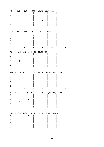| $A2 - 1$                     | 1:2:3:4:3            | 4.833 | A2, A3, E3, A4, E3 |                        |
|------------------------------|----------------------|-------|--------------------|------------------------|
| O                            |                      |       |                    |                        |
| N                            |                      |       |                    | O                      |
| N                            |                      |       |                    | O                      |
| N                            |                      |       | O                  |                        |
| O                            |                      |       |                    |                        |
| Χ                            |                      |       |                    |                        |
|                              |                      |       |                    |                        |
|                              |                      |       |                    |                        |
| $A2-9$                       | $2:3:4:6:8$ 2.75     |       | A2, E2, A3, E3, A4 |                        |
| N                            |                      | O     |                    |                        |
| N                            |                      | O     |                    |                        |
| N                            | O                    |       |                    |                        |
| N                            | O                    |       |                    |                        |
| O                            |                      |       |                    |                        |
| Χ                            |                      |       |                    |                        |
|                              |                      |       |                    |                        |
|                              |                      |       |                    |                        |
| $A2 - 13$                    | 2:3:4:6              | 2.5   | A2, E2, A3, E3     |                        |
| Χ                            |                      |       |                    |                        |
| N                            |                      | Ő     |                    |                        |
| N                            | O                    |       |                    |                        |
| N                            | O                    |       |                    |                        |
| O                            |                      |       |                    |                        |
| Χ                            |                      |       |                    |                        |
|                              |                      |       |                    |                        |
|                              |                      |       |                    |                        |
| $A2 - 16$                    | $3:4:6:8:9:12$ 2.139 |       |                    | E1, A2, E2, A3, B3, E3 |
| O                            |                      |       |                    |                        |
| O                            |                      |       |                    |                        |
| N                            | 0                    |       |                    |                        |
| N                            | O                    |       |                    |                        |
| O                            |                      |       |                    |                        |
| O                            |                      |       |                    |                        |
|                              |                      |       |                    |                        |
| $A2 - 18$                    |                      |       |                    |                        |
|                              | $3:4:6:9:9:12$ 2.111 |       |                    | E1, A2, E2, B3, B3, E3 |
| $\mathsf O$<br>${\mathsf o}$ |                      |       |                    |                        |
| N                            |                      | O     |                    |                        |
| N                            | 0                    |       |                    |                        |
| $\mathbf O$                  |                      |       |                    |                        |
| O                            |                      |       |                    |                        |
|                              |                      |       |                    |                        |
|                              |                      |       |                    |                        |
| $A2-20$                      | $3:4:6:9:9:15$ 2.078 |       |                    | A2, E2, B3, B3, G#3    |
| N                            |                      | O     |                    |                        |
| $\mathsf O$                  |                      |       |                    |                        |
| N                            |                      | 0     |                    |                        |
| N                            | O                    |       |                    |                        |
| $\mathsf O$                  |                      |       |                    |                        |
| $\mathsf O$                  |                      |       |                    |                        |
|                              |                      |       |                    |                        |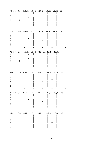| $A2 - 21$<br>O<br>N<br>N<br>N<br>0<br>O           | Ő<br>Ő                         | O          | 3:4:6:9:12:12 2.056 E1, A2, E2, B3, E3, E3 |  |
|---------------------------------------------------|--------------------------------|------------|--------------------------------------------|--|
| $A2 - 22$<br>O<br>O<br>N<br>N<br>O<br>O           | $3:4:8:9:9:12$ 2.028           |            | E1, A2, A3, B3, B3, E3                     |  |
| $A2 - 23$<br>N<br>N<br>N<br>N<br>0<br>O           | 3:4:6:9:12:15<br>Ő<br>O<br>Ô   | 2.023<br>O | A2, E2, B3, E3, G#3                        |  |
| $A2 - 27$<br>O<br>0<br>N<br>N<br>O<br>O           | 3:4:8:12:9:12                  | 1.972      | E1, A2, A3, E3, B3, E3                     |  |
| $\mathsf O$<br>N<br>N<br>N<br>O<br>O              | A2-28 3:4:8:9:12:12 1.972<br>0 | O          | E1, A2, A3, B3, E3, E3<br>O                |  |
| $A2 - 31$<br>O<br>O<br>N<br>N<br>$\mathsf O$<br>O | $3:4:9:12:9:12$ 1.944          |            | E1, A2, B3, E3, B3, E3<br>O<br>O           |  |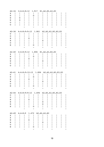| $A2 - 34$<br>Χ<br>N<br>N<br>N<br>$\mathbf O$<br>0 | 3:4:6:8:12<br>O<br>O          | 1.917                     | E1, A2, E2, A3, E3               |  |
|---------------------------------------------------|-------------------------------|---------------------------|----------------------------------|--|
| $A2 - 36$<br>O<br>$\mathsf O$<br>N<br>N<br>O<br>N | 4:4:8:9:9:12<br>Ő             | 1.861<br>O                | A2, A2, A3, B3, B3, E3<br>Ő      |  |
| $A2 - 40$<br>X<br>N<br>N<br>N<br>O<br>O           | 3:4:8:9:12<br>O               | 1.806<br>Ő                | E1, A2, A3, B3, E3<br>Ő          |  |
| $A2 - 41$<br>O<br>N<br>N<br>N<br>O<br>N           | 4:4:8:9:12:12<br>Ő            | 1.806<br>Ő<br>O           | A2, A2, A3, B3, E3, E3           |  |
| O<br>$\mathsf O$<br>N<br>N<br>N<br>N              | A2-44 4:6:8:9:9:12 1.694<br>0 | O                         | A2, E2, A3, B3, B3, E3<br>O<br>O |  |
| $A2 - 49$<br>Χ<br>X<br>N<br>N<br>$\mathsf O$<br>N | 4:4:8:9<br>0                  | 1.472 A2, A2, A3, B3<br>O | 0                                |  |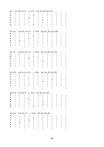| A2               | 4:6:8:9:12 | 1.472               |       | A2, E2, A3, B3, E3 |                     |  |
|------------------|------------|---------------------|-------|--------------------|---------------------|--|
| X                |            |                     |       |                    |                     |  |
| N                |            |                     | Ő     |                    |                     |  |
| N                |            | O                   |       |                    |                     |  |
| N                |            |                     |       | 0                  |                     |  |
| N                |            |                     |       | O                  |                     |  |
| N                |            |                     | O     |                    |                     |  |
|                  |            |                     |       |                    |                     |  |
|                  |            |                     |       |                    |                     |  |
| $A2 - 53$        |            | $4:6:9:12:15$ 1.356 |       |                    | A2, E2, B3, E3, G#3 |  |
| $\, {\bf N}$     |            | O                   |       |                    |                     |  |
| N                |            |                     | O     |                    |                     |  |
| N                |            | O                   |       |                    |                     |  |
| N                | Ő          |                     |       |                    |                     |  |
| O                |            |                     |       |                    |                     |  |
| X                |            |                     |       |                    |                     |  |
|                  |            |                     |       |                    |                     |  |
|                  |            |                     |       |                    |                     |  |
| $A2 - 57$        |            | $4:8:9:12:12$ 1.306 |       |                    | A2, A3, B3, E3, E3  |  |
| O                |            |                     |       |                    |                     |  |
| N                |            |                     | O     |                    |                     |  |
| N                |            | O                   |       |                    |                     |  |
| N                |            |                     |       | Ő                  |                     |  |
| O                |            |                     |       |                    |                     |  |
| X                |            |                     |       |                    |                     |  |
|                  |            |                     |       |                    |                     |  |
| $A2 - 58$        |            | 4:8:12:9:12         | 1.306 |                    | A2, A3, E3, B3, E3  |  |
| $\mathsf O$      |            |                     |       |                    |                     |  |
| O                |            |                     |       |                    |                     |  |
| $\mathbf N$      |            |                     |       |                    |                     |  |
| N                |            |                     |       | O                  |                     |  |
| 0                |            |                     |       |                    |                     |  |
| Χ                |            |                     |       |                    |                     |  |
|                  |            |                     |       |                    |                     |  |
|                  |            |                     |       |                    |                     |  |
|                  |            | A2-59 4:6:8:9 1.306 |       | A2, E2, A3, B3     |                     |  |
| X                |            |                     |       |                    |                     |  |
| X                |            |                     |       |                    |                     |  |
| N                |            | O                   |       |                    |                     |  |
| N                |            |                     |       | 0                  |                     |  |
| N                |            |                     |       | O                  |                     |  |
| $\, {\rm N}$     |            |                     | O     |                    |                     |  |
|                  |            |                     |       |                    |                     |  |
|                  |            |                     |       |                    |                     |  |
| $A2 - 63$        |            | 4:6:9:12            | 1.222 | A2, E2, B3, E3     |                     |  |
| X                |            |                     |       |                    |                     |  |
| ${\bf N}$        |            |                     | O     |                    |                     |  |
| $\mathbf N$      |            | O                   |       |                    |                     |  |
| N                | O          |                     |       |                    |                     |  |
| $\mathsf O$<br>X |            |                     |       |                    |                     |  |
|                  |            |                     |       |                    |                     |  |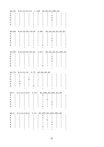| $A2 - 64$          |   | 4:9:12:15:12     | 1.189                   |                | A2, B3, E3, G#3, E3       |  |
|--------------------|---|------------------|-------------------------|----------------|---------------------------|--|
| O                  |   |                  |                         |                |                           |  |
| N                  |   |                  |                         |                | O                         |  |
| N                  |   |                  |                         |                | 0                         |  |
| N                  |   |                  |                         |                | O                         |  |
| O                  |   |                  |                         |                |                           |  |
| X                  |   |                  |                         |                |                           |  |
|                    |   |                  |                         |                |                           |  |
|                    |   |                  |                         |                |                           |  |
| $A2 - 68$          |   |                  | 9:8:18:24:18:24         | 0.861          | B2, A2, B3, E3, B3, E3    |  |
| O                  |   |                  |                         |                |                           |  |
| O                  |   |                  |                         |                |                           |  |
| N                  |   |                  |                         |                | O                         |  |
| N                  |   |                  |                         |                | O                         |  |
| O                  |   |                  |                         |                |                           |  |
| N                  |   |                  |                         | 0              |                           |  |
|                    |   |                  |                         |                |                           |  |
|                    |   |                  |                         |                |                           |  |
| $A2 - 69$          |   |                  | $9:8:18:24:30:24$ 0.817 |                | B2, A2, B3, E3, G#3, E3   |  |
| O                  |   |                  |                         |                |                           |  |
| N                  |   |                  |                         |                | O                         |  |
| N                  |   |                  |                         |                | O                         |  |
| N                  |   |                  |                         |                | O                         |  |
| 0                  |   |                  |                         |                |                           |  |
| N                  |   |                  |                         |                |                           |  |
|                    |   |                  |                         |                |                           |  |
|                    |   |                  |                         |                |                           |  |
|                    |   |                  |                         |                |                           |  |
|                    |   |                  |                         |                |                           |  |
| $A2 - 70$          |   | $8:9:12:18$ 0.75 |                         | A2, B2, E2, B3 |                           |  |
| Χ                  |   |                  |                         |                |                           |  |
| Χ                  |   |                  |                         |                |                           |  |
| N                  |   |                  |                         |                |                           |  |
| N                  | O |                  |                         |                |                           |  |
| N                  | O |                  |                         |                |                           |  |
| N                  |   |                  | O                       |                |                           |  |
|                    |   |                  |                         |                |                           |  |
|                    |   |                  |                         |                |                           |  |
|                    |   |                  | B2-1 2:3:4:5:4:8 3.317  | O              | B2, F#2, B3, D#3, B3, B4  |  |
| N<br>${\mathsf o}$ |   |                  |                         |                |                           |  |
|                    |   |                  |                         |                | 0                         |  |
| N                  |   |                  |                         |                | O                         |  |
| N                  |   |                  |                         |                | O                         |  |
| N                  |   |                  |                         | 0              |                           |  |
| N                  |   |                  |                         |                |                           |  |
|                    |   |                  |                         |                |                           |  |
|                    |   |                  | B2-2 2:3:4:5:6:8 3.15   |                | B2, F#2, B3, D#3, F#3, B4 |  |
| N                  |   |                  |                         | O              |                           |  |
| N                  |   |                  |                         | O              |                           |  |
| ${\tt N}$          |   |                  |                         |                | 0                         |  |
| N                  |   |                  |                         |                | 0                         |  |
| N                  |   |                  |                         |                | O                         |  |
| N                  |   |                  |                         | 0              |                           |  |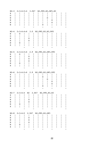| $B2-3$                                       | 2:3:4:5:4                                                                                   |
|----------------------------------------------|---------------------------------------------------------------------------------------------|
| Χ                                            | 3.067                                                                                       |
| $\mathsf O$                                  | B2, F#2, B3, D#3, B3                                                                        |
| N                                            | O                                                                                           |
| N                                            | O                                                                                           |
| N                                            | O                                                                                           |
| N                                            | O                                                                                           |
| N                                            | $B2-4$ $2:3:4:4:6$ $3.0$                                                                    |
| $\mathsf O$                                  | B2, F#2, B3, B3, F#3                                                                        |
| $\mathbf N$                                  | O                                                                                           |
| N                                            | O                                                                                           |
| N                                            | 0                                                                                           |
| Χ                                            | Ő                                                                                           |
| $B2-5$                                       | $2:3:4:5:6$ 2.9                                                                             |
| N                                            | B2, F#2, B3, D#3, F#3                                                                       |
| N                                            | O                                                                                           |
| N                                            | O                                                                                           |
| N                                            | $\mathsf O$                                                                                 |
| N                                            | O                                                                                           |
| X                                            | Ő                                                                                           |
| $B2-6$                                       | $2:3:4:5:6$ 2.9                                                                             |
| X                                            | B2, $F#2$ , B3, D#3, $F#3$                                                                  |
| N                                            | Ő                                                                                           |
| N                                            | O                                                                                           |
| N                                            | 0                                                                                           |
| N                                            | O                                                                                           |
| N                                            | O                                                                                           |
| X<br>${\mathsf o}$<br>N<br>N<br>N<br>X       | 2.667<br>B2, F#2, B3, B3<br>$B2-7$ $2:3:4:4$<br>B2<br>O<br>$\mathbf O$<br>O                 |
| $B2-8$<br>X<br>${\bf N}$<br>N<br>N<br>N<br>X | 2.567<br>B2, F#2, B3, D#3<br>2:3:4:5<br>I<br>$\mathsf O$<br>$\mathsf O$<br>$\mathsf O$<br>O |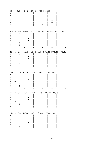| $B2-9$<br>Χ<br>X<br>N<br>N<br>N<br>N              |                       |                                      | $2:3:4:5$ 2.567 B2, $F#2$ , B3, D#3<br>O | D<br>O<br>O                                      |  |
|---------------------------------------------------|-----------------------|--------------------------------------|------------------------------------------|--------------------------------------------------|--|
| $B2 - 10$<br>N<br>O<br>N<br>N<br>N<br>N           | O<br>0<br>$\mathsf O$ | O<br>0                               |                                          | $3:4:6:8:8:12$ 2.167 $F#1, B2, F#2, B3, B3, F#3$ |  |
| $B2 - 11$<br>N<br>N<br>N<br>N<br>N<br>N           | Ő<br>O<br>$\mathsf O$ | $3:4:6:8:10:12$ 2.117<br>0<br>0<br>O |                                          | $F#1$ , B2, $F#2$ , B3, D#3, $F#3$               |  |
| $B2-12$<br>Χ<br>O<br>N<br>N<br>O<br>N<br>N        | O<br>O                | O                                    | $3:4:5:8:8$ 2.067 $F#1, B2, D#2, B3, B3$ |                                                  |  |
| $B2 - 13$<br>X<br>N<br>N<br>N<br>O<br>N<br>N      | O<br>$\mathsf O$      | $3:4:5:8:10$ 2.017<br>O<br>O         |                                          | $F#1$ , B2, D#2, B3, D#3                         |  |
| $B2 - 14$<br>X<br>$\mathsf O$<br>N<br>N<br>N<br>N | O<br>$\mathsf O$      | O<br>O                               | $3:4:6:8:8$ 2.0 $F#1, B2, F#2, B3, B3$   |                                                  |  |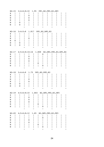| $B2 - 15$<br>X<br>N<br>N                     | 3:4:6:8:10<br>1.95<br>$F#1$ , B2, $F#2$ , B3, D#3<br>O<br>0                       |
|----------------------------------------------|-----------------------------------------------------------------------------------|
| N                                            | 0                                                                                 |
| N                                            | O                                                                                 |
| N                                            | O                                                                                 |
| $B2 - 16$<br>X<br>Χ<br>N<br>N<br>O<br>N<br>N | $3:4:5:8$ 1.817 $F#1, B2, D#2, B3$<br>O<br>O                                      |
| $B2-17$<br>N<br>N<br>N<br>N<br>N<br>N        | 4:5:6:8:10:16<br>1.808<br>B2, D#2, F#2, B3, D#3, B4<br>Ő<br>O<br>0<br>O<br>Ő<br>O |
| $B2 - 18$                                    | 3:4:6:8                                                                           |
| X                                            | 1.75                                                                              |
| X                                            | F#1, B2, F#2, B3                                                                  |
| N                                            | O                                                                                 |
| N                                            | 0                                                                                 |
| N                                            | O                                                                                 |
| N                                            | O                                                                                 |
| X                                            | B2-19 4:5:6:8:10 1.683 B2, D#2, F#2, B3, D#3                                      |
| N                                            | O                                                                                 |
| N                                            | O                                                                                 |
| N                                            | $\mathbf O$                                                                       |
| N                                            | O                                                                                 |
| N                                            | 0                                                                                 |
| $B2-20$                                      | $4:5:6:8:12$ 1.65                                                                 |
| X                                            | B2, $D#2$ , $F#2$ , B3, $F#3$                                                     |
| N                                            | O                                                                                 |
| N                                            | O                                                                                 |
| N                                            | O                                                                                 |
| N                                            | O                                                                                 |
| N                                            | $\mathsf O$                                                                       |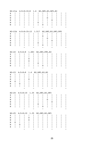| X           | $B2-21a \quad 4:5:8:10:8$ | 1.6             | B2, D#2, B3, D#3, B3  |                       |
|-------------|---------------------------|-----------------|-----------------------|-----------------------|
| O           |                           |                 |                       |                       |
| N           |                           |                 | Ő                     |                       |
| N           |                           |                 |                       | 0                     |
| N           |                           | Ő               |                       |                       |
| N           |                           |                 | O                     |                       |
|             |                           |                 |                       |                       |
|             |                           |                 |                       |                       |
|             | B2-21b 4:5:8:10:12        | 1.517           |                       | B2, D#2, B3, D#3, F#3 |
| X           |                           |                 |                       |                       |
| N           |                           |                 | O                     |                       |
| N           |                           |                 | O                     |                       |
| N           |                           |                 |                       | 0                     |
| N           |                           | O               |                       |                       |
| N           |                           |                 | 0                     |                       |
|             |                           |                 |                       |                       |
|             |                           |                 |                       |                       |
| $B2-22$     | 4:5:6:8<br>1.483          |                 | B2, D#2, F#2, B3      |                       |
| X           |                           |                 |                       |                       |
| X           |                           |                 |                       |                       |
| N           | O                         |                 |                       |                       |
| N           | O                         |                 |                       |                       |
| N           |                           | Ő               |                       |                       |
| N           |                           |                 | O                     |                       |
|             |                           |                 |                       |                       |
|             |                           |                 |                       |                       |
|             |                           |                 |                       |                       |
| $B2-23$     | 4:5:8:8<br>1.4            | B2, D#2, B3, B3 |                       |                       |
| X           |                           |                 |                       |                       |
| $\mathsf O$ |                           |                 |                       |                       |
| N           | Ő                         |                 |                       |                       |
| N<br>O      |                           |                 |                       |                       |
| N           | Ő                         |                 |                       |                       |
| Χ           |                           |                 |                       |                       |
|             |                           |                 |                       |                       |
|             |                           |                 |                       |                       |
|             | B2-24 4:5:8:10            | 1.35            | B2, $D#2$ , B3, $D#3$ |                       |
| X           |                           |                 |                       |                       |
| X           |                           |                 |                       |                       |
| $\mathbf N$ |                           |                 | O                     |                       |
| N           |                           |                 |                       | O                     |
| N           |                           | O               |                       |                       |
| N           |                           |                 | O                     |                       |
|             |                           |                 |                       |                       |
|             |                           |                 |                       |                       |
| $B2-25$     | 1.35<br>4:5:8:10          |                 | B2, $D#2$ , B3, $D#3$ |                       |
| X           |                           |                 |                       |                       |
| ${\bf N}$   | 0                         |                 |                       |                       |
| N<br>0      | O                         |                 |                       |                       |
| N           | O                         |                 |                       |                       |
| N<br>X      |                           |                 |                       |                       |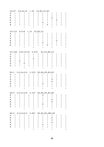|               |                                       |       | C2-97 4:5:8:10 1.35 C2, E2, C3, E3 |   |   |  |
|---------------|---------------------------------------|-------|------------------------------------|---|---|--|
| X             |                                       |       |                                    |   |   |  |
| X             |                                       |       |                                    |   |   |  |
| N             |                                       |       |                                    | O |   |  |
| N             |                                       |       |                                    |   | O |  |
|               |                                       |       |                                    |   |   |  |
| N             |                                       |       | O                                  |   |   |  |
| N             |                                       |       |                                    | 0 |   |  |
|               |                                       |       |                                    |   |   |  |
|               |                                       |       |                                    |   |   |  |
|               | C2-112 $4:5:8$ 1.15 C2, E2, C3        |       |                                    |   |   |  |
| X             |                                       |       |                                    |   |   |  |
| X             |                                       |       |                                    |   |   |  |
| X             |                                       |       |                                    |   |   |  |
|               |                                       |       |                                    |   |   |  |
| $\mathbf N$   |                                       |       |                                    |   | O |  |
| N             |                                       |       | o                                  |   |   |  |
| N             |                                       |       |                                    | O |   |  |
|               |                                       |       |                                    |   |   |  |
|               |                                       |       |                                    |   |   |  |
|               | C2-128 5:8:10:16 0.975 E1, C2, E2, C3 |       |                                    |   |   |  |
| X             |                                       |       |                                    |   |   |  |
| X             |                                       |       |                                    |   |   |  |
| N             |                                       | O     |                                    |   |   |  |
|               |                                       |       |                                    |   |   |  |
| N             | 0                                     |       |                                    |   |   |  |
| N             | O                                     |       |                                    |   |   |  |
| ${\mathsf o}$ |                                       |       |                                    |   |   |  |
|               |                                       |       |                                    |   |   |  |
|               |                                       |       |                                    |   |   |  |
|               |                                       |       |                                    |   |   |  |
|               | $E2-1$ 2:3:4:3:4 3.333                |       |                                    |   |   |  |
|               |                                       |       | E2, B3, E3, B3, E3                 |   |   |  |
| O             |                                       |       |                                    |   |   |  |
| $\mathsf O$   |                                       |       |                                    |   |   |  |
| N             |                                       |       |                                    | O |   |  |
| N             |                                       |       |                                    | O |   |  |
| N             |                                       |       | O                                  |   |   |  |
| X             |                                       |       |                                    |   |   |  |
|               |                                       |       |                                    |   |   |  |
|               |                                       |       |                                    |   |   |  |
| $E2-2$        | 2:3:4:3:6 3.167 E2, B3, E3, B3, B4    |       |                                    |   |   |  |
| N             |                                       |       | O                                  |   |   |  |
| ${\mathsf o}$ |                                       |       |                                    |   |   |  |
|               |                                       |       |                                    |   |   |  |
| N             |                                       |       |                                    | O |   |  |
| N             |                                       |       |                                    | O |   |  |
| N             |                                       |       | O                                  |   |   |  |
| X             |                                       |       |                                    |   |   |  |
|               |                                       |       |                                    |   |   |  |
|               |                                       |       |                                    |   |   |  |
| $E2-3$        | 2:3:4:5:4                             | 3.067 | E2, B3, E3, G#3, E3                |   |   |  |
| $\mathsf{o}$  |                                       |       |                                    |   |   |  |
| ${\bf N}$     |                                       |       |                                    | O |   |  |
| N             |                                       |       |                                    | O |   |  |
|               |                                       |       |                                    | O |   |  |
| N             |                                       |       |                                    |   |   |  |
| N<br>X        |                                       |       | O                                  |   |   |  |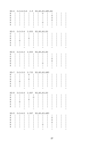| $E2-4$<br>N<br>N<br>N<br>N<br>N<br>X                      |                      |                 | $2:3:4:5:6$ 2.9 E2, B3, E3, G#3, B4<br>Ő<br>Ő | O<br>$\mathsf O$<br>$\mathsf O$ |
|-----------------------------------------------------------|----------------------|-----------------|-----------------------------------------------|---------------------------------|
| $E2-5$<br>$\mathsf{o}$<br>$\mathsf O$<br>N<br>N<br>X<br>X | $2:3:3:4$ 2.833<br>Ő | Ő               | E2, B3, B3, E3                                |                                 |
| $E2-6$<br>X<br>${\mathsf o}$<br>N<br>N<br>N<br>X          | $2:3:4:3$ 2.833      |                 | E2, B3, E3, B3<br>O                           | O<br>0                          |
| $E2-7$<br>N<br>$\mathsf O$<br>N<br>N<br>Χ<br>X            | 2:3:3:5<br>O         | 2.733<br>O<br>O | E2, B3, B3, G#3                               |                                 |
| $E2-8$<br>${\mathsf o}$<br>${\tt N}$<br>N<br>N<br>X<br>X  | $2:3:4:4$ 2.667<br>O | O<br>O          | E2, B3, E3, E3                                |                                 |
| $E2-9$<br>X<br>N<br>N<br>N<br>N<br>X                      | $2:3:4:5$ 2.567      |                 | E2, B3, E3, G#3<br>O                          | 0<br>$\mathsf O$<br>O           |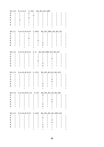| $E2-10$       | 2:3:4:5                   | 2.567 | E2, B3, E3, G#3 |                         |  |
|---------------|---------------------------|-------|-----------------|-------------------------|--|
| N             |                           | O     |                 |                         |  |
| N             |                           | O     |                 |                         |  |
| N             |                           | O     |                 |                         |  |
| N             | O                         |       |                 |                         |  |
| X             |                           |       |                 |                         |  |
|               |                           |       |                 |                         |  |
| Χ             |                           |       |                 |                         |  |
|               |                           |       |                 |                         |  |
|               |                           |       |                 |                         |  |
|               | $E2-11$ 3:4:5:6:6:8 2.483 |       |                 | B2, E2, G#2, B3, B3, E3 |  |
| $\mathsf O$   |                           |       |                 |                         |  |
| O             |                           |       |                 |                         |  |
| N             |                           |       |                 |                         |  |
| N             |                           |       | Ő               |                         |  |
| N             |                           |       | 0               |                         |  |
| N             |                           |       | O               |                         |  |
|               |                           |       |                 |                         |  |
|               |                           |       |                 |                         |  |
|               |                           |       |                 |                         |  |
| $E2-12$       | $3:4:5:8:6:8$ 2.4         |       |                 | B2, E2, G#2, E3, B3, E3 |  |
| O             |                           |       |                 |                         |  |
| O             |                           |       |                 |                         |  |
| N             |                           |       |                 | O                       |  |
| N             |                           |       | O               |                         |  |
| N             |                           |       | 0               |                         |  |
| N             |                           |       | O               |                         |  |
|               |                           |       |                 |                         |  |
|               |                           |       |                 |                         |  |
|               |                           |       |                 |                         |  |
|               |                           |       |                 |                         |  |
| $E2-13$       | $3:4:6:8:6:8$ 2.333       |       |                 | B2, E2, B3, E3, B3, E3  |  |
| O             |                           |       |                 |                         |  |
| O             |                           |       |                 |                         |  |
| N             |                           |       |                 | O                       |  |
| N             |                           |       |                 | O                       |  |
| N             |                           |       | Ő               |                         |  |
| N             |                           |       | O               |                         |  |
|               |                           |       |                 |                         |  |
|               |                           |       |                 |                         |  |
|               | $E2-14$ 3:4:6:8:6:12 2.25 |       |                 | B2, E2, B3, E3, B3, B4  |  |
| N             |                           |       | O               |                         |  |
| ${\mathsf o}$ |                           |       |                 |                         |  |
|               |                           |       |                 | O                       |  |
| N             |                           |       |                 |                         |  |
| N             |                           |       |                 | O                       |  |
| N             |                           |       | O               |                         |  |
| N             |                           |       | $\mathbf O$     |                         |  |
|               |                           |       |                 |                         |  |
|               |                           |       |                 |                         |  |
| $E2-15$       | 3:4:6:8:9:8               |       | 2.222           | B2, E2, B3, E3, F#3, E3 |  |
| $\mathsf O$   |                           |       |                 |                         |  |
| N             |                           |       | O               |                         |  |
| N             |                           |       |                 | O                       |  |
| N             |                           |       |                 | O                       |  |
| N             |                           |       | 0               |                         |  |
| N             |                           |       | O               |                         |  |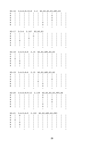| $E2 - 16$<br>O<br>N<br>N<br>N<br>N<br>N              | $3:4:6:8:10:8$ 2.2 B2, E2, B3, E3, G#3, E3     |       | O<br>$\mathbf O$                        | O<br>${\mathsf o}$<br>$\mathsf O$ |  |
|------------------------------------------------------|------------------------------------------------|-------|-----------------------------------------|-----------------------------------|--|
| $E2-17$<br>X<br>N<br>N<br>N<br>Χ<br>X                | $2:3:4$ 2.167 E2, B3, E3<br>O<br>O             | O     |                                         |                                   |  |
| $E2-18$<br>O<br>O<br>N<br>O<br>N<br>N<br>X           | $3:4:5:6:8$ 2.15 B2, E2, G#2, B3, E3<br>O<br>O |       |                                         |                                   |  |
| $E2 - 19$<br>Χ<br>O<br>N<br>N<br>N<br>N              | $3:4:5:8:6$ 2.15                               | O     | B2, E2, G#2, E3, B3<br>O<br>$\mathsf O$ | Ő                                 |  |
| N<br>N<br>N<br>N<br>N<br>N                           | $E2-20$ $3:4:6:8:9:12$ 2.139                   |       | O<br>O<br>O<br>$\mathbf O$              | B2, E2, B3, E3, F#3, B4<br>O<br>O |  |
| $E2-21$<br>N<br>$\mathsf O$<br>N<br>0<br>N<br>N<br>X | 3:4:5:6:9<br>O<br>O<br>O                       | 2.122 | B2, E2, G#2, B3, F#3                    |                                   |  |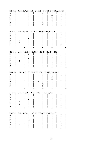| $E2 - 22$                             | $3:4:6:8:10:12$ $2.117$ B2, E2, B3, E3, G#3, B4                    |
|---------------------------------------|--------------------------------------------------------------------|
| N                                     | Ő                                                                  |
| N                                     | O                                                                  |
| N                                     | O                                                                  |
| N                                     | 0                                                                  |
| N                                     | O                                                                  |
| N                                     | 0                                                                  |
| $E2-23$<br>0<br>O<br>N<br>N<br>N<br>Χ | 3:4:6:6:8 2.083 B2, E2, B3, B3, E3<br>O<br>O                       |
| N                                     | $E2-24$ 3:4:6:6:10 2.033                                           |
| O                                     | B2, E2, B3, B3, G#3                                                |
| N                                     | O                                                                  |
| N                                     | O                                                                  |
| N                                     | O                                                                  |
| X                                     | O                                                                  |
| $E2-25$                               | $3:4:5:8:10$ 2.017                                                 |
| Χ                                     | B2, E2, G#2, E3, G#3                                               |
| N                                     | O                                                                  |
| N                                     | O                                                                  |
| N                                     | Ő                                                                  |
| N                                     | O                                                                  |
| N                                     | O                                                                  |
| O<br>N<br>N<br>N<br>N<br>X            | E2-26 3:4:6:8:8 2.0 B2, E2, B3, E3, E3<br>O<br>0<br>O<br>O         |
| $E2-27$<br>N<br>N<br>N<br>N<br>N<br>X | 3:4:6:8:9<br>1.972<br>B2, E2, B3, E3, F#3<br>O<br>O<br>Ő<br>O<br>O |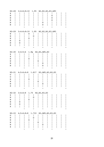| $E2 - 28$<br>Χ | 3:4:6:8:10                          | 1.95 | B2, E2, B3, E3, G#3 |   |  |
|----------------|-------------------------------------|------|---------------------|---|--|
| N              |                                     |      |                     | O |  |
| N              |                                     |      |                     | O |  |
| N              |                                     |      |                     | O |  |
| N              |                                     |      | O                   |   |  |
| N              |                                     |      | 0                   |   |  |
|                |                                     |      |                     |   |  |
| $E2-29$        | 3:4:6:8:10                          | 1.95 | B2, E2, B3, E3, G#3 |   |  |
| N              | O                                   |      |                     |   |  |
| N              |                                     | O    |                     |   |  |
| N              | 0                                   |      |                     |   |  |
| N              | O                                   |      |                     |   |  |
| N              | O                                   |      |                     |   |  |
| Χ              |                                     |      |                     |   |  |
|                |                                     |      |                     |   |  |
|                | E2-30 $3:4:5:6$ 1.9p                |      | B2,E2,G#2,B3        |   |  |
| Χ              |                                     |      |                     |   |  |
| X              |                                     |      |                     |   |  |
| N              | Ő                                   |      |                     |   |  |
| N              |                                     | O    |                     |   |  |
| N<br>N         |                                     |      | O<br>0              |   |  |
|                |                                     |      |                     |   |  |
|                |                                     |      |                     |   |  |
|                |                                     |      |                     |   |  |
| $E2 - 31$      | 4:5:6:6:8 1.817 E2, G#2, B3, B3, E3 |      |                     |   |  |
| O              |                                     |      |                     |   |  |
| O              |                                     |      |                     |   |  |
| N              |                                     | Ő    |                     |   |  |
| N<br>N         |                                     |      | O                   |   |  |
| Χ              |                                     |      |                     |   |  |
|                |                                     |      |                     |   |  |
|                |                                     |      |                     |   |  |
| X              | $E2-32$ $3:4:6:8$ 1.75              |      | B2, E2, B3, E3      |   |  |
| N              |                                     | O    |                     |   |  |
| N              | 0                                   |      |                     |   |  |
| N              | O                                   |      |                     |   |  |
| N              | O                                   |      |                     |   |  |
| X              |                                     |      |                     |   |  |
|                |                                     |      |                     |   |  |
| $E2 - 33$      | $4:5:6:8:8$ 1.733                   |      | E2, G#2, B3, E3, E3 |   |  |
| $\mathsf O$    |                                     |      |                     |   |  |
| N              |                                     | 0    |                     |   |  |
| N              | O                                   |      |                     |   |  |
| N              |                                     | O    |                     |   |  |
| N<br>X         |                                     |      | O                   |   |  |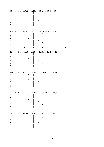| $E2 - 34$<br>0<br>O<br>N<br>N<br>N<br>X | $4:5:8:6:8$ 1.733            | E2, G#2, E3, B3, E3<br>Ο<br>Ő                                 |
|-----------------------------------------|------------------------------|---------------------------------------------------------------|
| $E2 - 35$<br>N<br>0<br>N<br>N<br>N<br>X | $4:5:6:6:12$ 1.733           | E2, G#2, B3, B3, B4<br>Ő<br>Ő<br>O                            |
| 0<br>N<br>N<br>N<br>N<br>X              | $E2-36$ 4:5:6:9:8 1.706<br>Ő | E2, G#2, B3, F#3, E3<br>Ő<br>O.<br>O                          |
| N<br>N<br>N<br>N<br>N<br>Χ              | $E2-37$ 4:5:6:8:10<br>O<br>Ő | 1.683<br>E2, $G#2$ , B3, E3, $G#3$<br>O<br>O)<br>O            |
| N<br>N<br>N<br>N<br>N<br>X              | 0<br>O                       | E2-38 $4:5:6:9:10$ 1.656 E2, G#2, B3, F#3, G#3<br>O<br>0<br>0 |
| $E2 - 39$<br>O<br>N<br>N<br>N<br>N<br>X |                              | $4:5:8:9:8$ 1.622 E2, G#2, E3, F#3, E3<br>O<br>O<br>O<br>0    |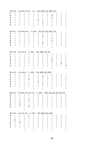| $E2 - 40$<br>$\mathsf O$<br>N<br>N<br>N<br>N<br>Χ    | $4:5:8:10:8$ 1.6               | E2, G#2, E3, G#3, E3<br>O<br>0<br>O<br>Ő                        |
|------------------------------------------------------|--------------------------------|-----------------------------------------------------------------|
| $\mathbf O$<br>N<br>N<br>N<br>N<br>Χ                 |                                | E2-41 $4:6:8:9:8$ 1.556 E2, B3, E3, F#3, E3<br>Ő<br>O<br>O<br>Ő |
| Χ<br>X<br>N<br>N<br>N<br>N                           | $E2-42$ $4:5:6:8$ $1.483$      | E2, G#2, B3, E3<br>O<br>O<br>O<br>U                             |
| Χ<br>N<br>N<br>N<br>N<br>Χ                           | $E2-43$ $4:5:6:9$ $1.456$<br>Ő | E2, G#2, B3, F#3<br>Ő<br>O<br>O                                 |
| $\mathsf O$<br>$\mathsf O$<br>N<br>N<br>N<br>N       | 0<br>O<br>O<br>O               | E2-44 5:6:8:12:12:16 1.442 $G#1, B2, E2, B3, B3, E3$            |
| $E2-45$<br>N<br>$\mathsf O$<br>N<br>O<br>N<br>X<br>X | 4:5:6:10<br>1.433<br>O<br>O    | E2, G#2, B3, G#3                                                |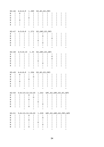| $E2-46$<br>N<br>$\mathsf O$<br>N<br>N<br>Χ<br>Χ | 4:6:6:9<br>O<br>O             | 1.389            | E2, B3, B3, F#3                 |        |                                    |
|-------------------------------------------------|-------------------------------|------------------|---------------------------------|--------|------------------------------------|
| $E2 - 47$<br>Χ<br>N<br>N<br>N<br>N<br>Χ         | 4:5:8:9                       | 1.372            | E2, G#2, E3, F#3<br>O<br>O<br>O | O      |                                    |
| $E2 - 48$<br>Χ<br>N<br>N<br>N<br>N<br>Χ         | $4:5:8:10$ 1.35               |                  | E2, G#2, E3, G#3<br>O<br>O      | 0<br>O |                                    |
| $E2-49$<br>N<br>N<br>N<br>N<br>Χ<br>Χ           | 4:6:8:9<br>O<br>O             | 1.306<br>O<br>O  | E2, B3, E3, F#3                 |        |                                    |
| N<br>N<br>N<br>N<br>N<br>N                      | $E2-50$ 5:8:10:12:16:20 1.242 | O<br>O<br>O<br>O | O<br>O                          |        | $G#1$ , E2, $G#2$ , B3, E3, $G#3$  |
| $E2 - 51$<br>N<br>N<br>N<br>N<br>N<br>N         | 5:8:10:12:18:20               | O<br>O<br>O      | 1.228<br>O<br>Ő<br>0            |        | $G#1$ , E2, $G#2$ , B3, F#3, $G#3$ |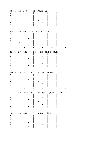| X<br>X<br>$\mathbf N$<br>N<br>N<br>X    | $E2-52$ $4:5:8$          |                               | 1.15 $E2, G#2, E3, B3$<br>Ő        | O                     |                                                  |  |
|-----------------------------------------|--------------------------|-------------------------------|------------------------------------|-----------------------|--------------------------------------------------|--|
| $E2 - 53$<br>Χ<br>X<br>N<br>N<br>N<br>N | 0<br>O                   | O                             | $5:6:8:12$ 1.15 $G#1$ , B2, E2, B3 |                       |                                                  |  |
| X<br>N<br>N<br>N<br>N<br>N              | $E2-54$ 5:8:9:12:18 1.15 | O<br>O<br>$\overline{1}$<br>O |                                    | O<br>O                | G#1, E2, F#2, B3, F#3                            |  |
| $E2 - 55$<br>Χ<br>N<br>N<br>N<br>N<br>N |                          | Ő<br>O                        | O<br>O                             | O                     | 5:8:10:12:16  1.142 $G#1$ , E2, $G#2$ , B3, E3   |  |
| X<br>N<br>N<br>N<br>N<br>N              |                          | O<br>O                        | O                                  | O<br>O                | E2-56 5:8:10:12:18 1.128 $G#1, E2, G#2, B3, F#3$ |  |
| Χ<br>X<br>N<br>N<br>N<br>N              | E2-57 $5:8:9:12$ 1.039   | O<br>O<br>L<br>O              |                                    | G#1, E2, F#2, B3<br>O |                                                  |  |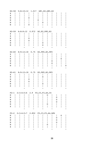| $E2 - 58$      | 5:8:10:12                             |                  |       | $1.017$ G#1, E2, G#2, B3 |   |                  |   |  |
|----------------|---------------------------------------|------------------|-------|--------------------------|---|------------------|---|--|
| X              |                                       |                  |       |                          |   |                  |   |  |
| X              |                                       |                  |       |                          |   |                  |   |  |
| N<br>N         |                                       | O                |       | O                        |   |                  |   |  |
| N              |                                       |                  |       | O                        |   |                  |   |  |
| N              |                                       | 0                |       |                          |   |                  |   |  |
|                |                                       |                  |       |                          |   |                  |   |  |
|                |                                       |                  |       |                          |   |                  |   |  |
| $E2 - 59$      |                                       | $6:8:9:12$ 0.972 |       | B2, E2, F#2, B3          |   |                  |   |  |
| X              |                                       |                  |       |                          |   |                  |   |  |
| X              |                                       |                  |       |                          |   |                  |   |  |
| N              |                                       | O                |       |                          |   |                  |   |  |
| N              |                                       | O                |       |                          |   |                  |   |  |
| N              |                                       |                  |       | O                        |   |                  |   |  |
| N              |                                       |                  |       | O                        |   |                  |   |  |
|                |                                       |                  |       |                          |   |                  |   |  |
|                | $E2-60$ 8:9:12:18 0.75                |                  |       | E2, F#2, B3, F#3         |   |                  |   |  |
| X              |                                       |                  |       |                          |   |                  |   |  |
| X              |                                       |                  |       |                          |   |                  |   |  |
| N              |                                       |                  |       |                          |   |                  | Ο |  |
| N              |                                       |                  |       |                          | O |                  |   |  |
| N              |                                       |                  |       |                          | 0 |                  |   |  |
| N              |                                       |                  |       |                          |   |                  |   |  |
|                |                                       |                  |       |                          |   |                  |   |  |
|                |                                       |                  |       |                          |   |                  |   |  |
|                |                                       |                  |       |                          |   |                  |   |  |
| $E2-61$        | $8:9:12:18$ 0.75                      |                  |       | E2, F#2, B3, F#3         |   |                  |   |  |
| X<br>N         |                                       |                  |       | O                        |   |                  |   |  |
| N              |                                       | O                |       |                          |   |                  |   |  |
| N              |                                       | O                |       |                          |   |                  |   |  |
| N              |                                       |                  |       | O                        |   |                  |   |  |
| Χ              |                                       |                  |       |                          |   |                  |   |  |
|                |                                       |                  |       |                          |   |                  |   |  |
|                |                                       |                  |       |                          |   |                  |   |  |
|                | F2-1 2:3:4:5:6 2.9 F2, C3, F3, A4, C4 |                  |       |                          | O |                  |   |  |
| N<br>${\tt N}$ |                                       |                  |       |                          |   | $\mathsf O$      |   |  |
| N              |                                       |                  |       |                          |   | $\hbox{O}$       |   |  |
| N              |                                       |                  |       |                          |   | O                |   |  |
| N              |                                       |                  |       |                          | O |                  |   |  |
| X              |                                       |                  |       |                          |   |                  |   |  |
|                |                                       |                  |       |                          |   |                  |   |  |
|                |                                       |                  |       |                          |   |                  |   |  |
| $F2-2$         | 2:3:4:5:7                             |                  | 2.852 | F2, C3, F3, A4, D#4      |   |                  |   |  |
| N              |                                       |                  |       |                          |   |                  | O |  |
| N              |                                       |                  |       |                          |   | O<br>$\mathbf O$ |   |  |
| N<br>N         |                                       |                  |       |                          |   | O                |   |  |
| N              |                                       |                  |       |                          | O |                  |   |  |
| X              |                                       |                  |       |                          |   |                  |   |  |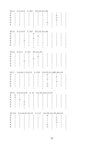| X<br>$\mathbf N$<br>N<br>N<br>N<br>$\mathbf X$                     | F2-3 2:3:4:5 2.567 F2, C3, F3, A4<br>$\mathsf O$<br>$\mathsf O$<br>$\mathsf O$<br>O       |  |
|--------------------------------------------------------------------|-------------------------------------------------------------------------------------------|--|
| $F2-4$<br>N<br>N<br>N<br>N<br>X<br>X                               | 2:3:4:5 2.567 F2, C3, F3, A4<br>O<br>O<br>O<br>О                                          |  |
| $F2-6$<br>X<br>N<br>N<br>N<br>X<br>X                               | 2:3:4 2.167 F2, C3, F3<br>O<br>0<br>O                                                     |  |
| $F2-7$<br>N<br>N<br>N<br>N<br>N<br>N                               | $3:4:6:7:10:12$ $2.152$ $C2, F2, C3, D#3, A4, C4$<br>O<br>0<br>O<br>0<br>0<br>$\mathsf O$ |  |
| $F2-8$<br>N<br>$\mathsf O$<br>$\mathsf O$<br>N<br>N<br>N<br>N<br>X | 3:4:5:6:8 2.15 C2, F2, A3, C3, F3<br>O<br>0<br>0                                          |  |
| $F2-10$<br>N<br>N<br>${\tt N}$                                     | $3:4:6:8:10:12$ 2.117<br>C2, F2, C3, F3, A4, C4<br>O<br>O                                 |  |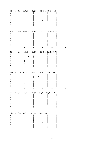| $F2 - 11$<br>X<br>N<br>N<br>N<br>N<br>N | 3:4:5:8:10                | 2.017<br>C2, F2, A3, F3, A4<br>O<br>O<br>O<br>O<br>O                 |  |
|-----------------------------------------|---------------------------|----------------------------------------------------------------------|--|
| $F2 - 14$<br>Χ<br>N<br>N<br>N<br>N<br>N | $3:4:6:7:10$ 1.986        | C2, F2, C3, D#3, A4<br>O<br>O<br>O<br>O<br>O                         |  |
| $F2 - 15$<br>N<br>N<br>N<br>N<br>N<br>Χ | 3:4:6:7:10<br>O<br>0<br>0 | 1.985<br>C2, F2, C3, D#3, A4<br>O<br>O                               |  |
| $F2 - 18$<br>N<br>N<br>N<br>N<br>N<br>X | 3:4:6:8:10<br>O<br>O      | 1.95<br>C2, F2, C3, F3, A4<br>0<br>Ő<br>Ő                            |  |
| Χ<br>N<br>N<br>N<br>N<br>N              | $F2-19$ 3:4:6:8:10 1.95   | C2, F2, C3, F3, A4<br>I<br>$\mathsf O$<br>$\mathsf O$<br>O<br>O<br>O |  |
| $F2-20$<br>Χ<br>X<br>N<br>N<br>N<br>N   | 3:4:5:6<br>1.9            | C2, F2, A3, C3<br>O<br>0<br>O<br>$\mathsf O$                         |  |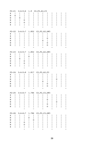| $F2 - 21$<br>X<br>$\mathbf N$<br>O<br>N<br>N<br>N<br>X           | 3:4:5:6<br>O<br>O<br>O           | 1.9              | C2, F2, A3, C3                                                    |   |
|------------------------------------------------------------------|----------------------------------|------------------|-------------------------------------------------------------------|---|
| $F2-22$<br>X<br>X<br>N<br>N<br>N<br>N                            | $3:4:5:7$ 1.852                  |                  | C2, F2, A3, D#3<br>O<br>O<br>$\mathsf O$<br>$\hbox{O}$            |   |
| $F2-23$<br>X<br>N<br>N<br>N<br>N<br>X                            | 3:4:5:7<br>0<br>O<br>$\mathsf O$ | 1.852<br>O       | C2, F2, A3, D#3                                                   |   |
| $F2-24$<br>X<br>X<br>N<br>N<br>N<br>N                            | $3:4:5:8$ 1.817                  |                  | C2, F2, A3, F3<br>O<br>O<br>O                                     | O |
| X<br>$\mathbf X$<br>$\mathbf N$<br>$\mathbf N$<br>N<br>${\rm N}$ |                                  |                  | F2-25 3:4:6:7 1.786 C2, F2, C3, D#3<br>O<br>T<br>O<br>$\mathsf O$ | O |
| $F2-26$<br>X<br>${\bf N}$<br>${\tt N}$<br>$\, {\rm N}$<br>N<br>X | $3:4:6:7$ 1.786<br>O<br>O        | $\mathsf O$<br>0 | C2, F2, C3, D#3                                                   |   |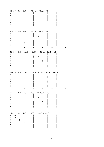| X<br>X<br>N<br>N<br>N<br>N                                          | F2-27 3:4:6:8 1.75 C2, F2, C3, F3<br>O<br>O<br>O<br>O                     |
|---------------------------------------------------------------------|---------------------------------------------------------------------------|
| Χ<br>N<br>N<br>N<br>N<br>X                                          | $F2-28$ 3:4:6:8 1.75<br>C2, F2, C3, F3<br>O<br>Ő<br>O<br>O                |
| N<br>N<br>N<br>N<br>N<br>X                                          | $F2-29$ 4:5:6:8:10 1.683<br>F2, A3, C3, F3, A4<br>0<br>O<br>O<br>0<br>O   |
| N<br>N<br>N<br>N<br>N<br>X                                          | $F2-35$ 4:6:7:10:12 1.486<br>F2, C3, D#3, A4, C4<br>O<br>O<br>O<br>O<br>O |
| X<br>N<br>$\mathbf N$<br>N<br>N<br>X                                | $F2-36$ 4:5:6:8 1.483 F2, A3, C3, F3<br>0<br>0<br>O<br>O                  |
| $F2 - 37$<br>N<br>O<br>N<br>O<br>N<br>${\bf N}$<br>X<br>$\mathbf X$ | $4:5:6:8$ 1.483<br>F2, A3, C3, F3<br>0<br>O                               |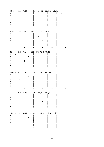| $F2 - 39$<br>N<br>N<br>N<br>N<br>N<br>X                   | 4:6:7:10:14                     |                | 1.462 $F2, C3, D#3, A4, D#4$<br>O<br>O | O<br>O<br>O |
|-----------------------------------------------------------|---------------------------------|----------------|----------------------------------------|-------------|
| $F2-42$<br>X<br>N<br>N<br>N<br>N<br>X                     | $4:5:7:8$ 1.436                 | O              | F2, A3, D#3, F3<br>O<br>O<br>O         |             |
| $F2 - 43$<br>$\, {\bf N}$<br>O<br>N<br>N<br>N<br>X<br>X   | 4:5:7:8<br>1.436<br>O<br>0<br>O |                | F2, A3, D#3, F3                        |             |
| $F2 - 46$<br>N<br>$\mathbf N$<br>N<br>N<br>Χ<br>X         | 4:5:7:10<br>O<br>O<br>O         | 1.386<br>O     | F2, A3, D#3, A4                        |             |
| X<br>$\mathbf N$<br>N<br>N<br>N<br>X                      | $F2-47$ $4:5:7:10$              |                | $1.386$ F2, A3, D#3, A4<br>O<br>0<br>O | O           |
| $F2 - 50$<br>X<br>${\bf N}$<br>N<br>N<br>$\mathsf O$<br>N | 5:5:8:12:14<br>O<br>O           | 1.36<br>O<br>O | A2, A2, F2, C3, D#3                    |             |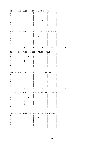| $F2 - 51$ | 4:5:8:10                  | 1.35  | F2, A3, F3, A4                                         |                     |  |
|-----------|---------------------------|-------|--------------------------------------------------------|---------------------|--|
| Χ         |                           |       |                                                        |                     |  |
| N         |                           |       |                                                        | O                   |  |
| N         |                           |       |                                                        | $\mathsf O$         |  |
| N         |                           |       | O                                                      |                     |  |
| N         |                           |       |                                                        | O                   |  |
|           |                           |       |                                                        |                     |  |
| X         |                           |       |                                                        |                     |  |
|           |                           |       |                                                        |                     |  |
|           |                           |       |                                                        |                     |  |
| $F2 - 52$ | $5:5:8:12:16$ 1.342       |       |                                                        | A2, A2, F2, C3, F3  |  |
| X         |                           |       |                                                        |                     |  |
| N         |                           |       | O                                                      |                     |  |
| N         |                           | O     |                                                        |                     |  |
| N         | Ő                         |       |                                                        |                     |  |
| O         |                           |       |                                                        |                     |  |
| N         |                           | O     |                                                        |                     |  |
|           |                           |       |                                                        |                     |  |
|           |                           |       |                                                        |                     |  |
| $F2 - 55$ | 4:6:7:10                  | 1.319 | F2, C3, D#3, A4                                        |                     |  |
| N         |                           | O     |                                                        |                     |  |
| N         |                           | O     |                                                        |                     |  |
| N         |                           | O     |                                                        |                     |  |
|           |                           |       |                                                        |                     |  |
| N         | O                         |       |                                                        |                     |  |
| X         |                           |       |                                                        |                     |  |
| X         |                           |       |                                                        |                     |  |
|           |                           |       |                                                        |                     |  |
|           |                           |       |                                                        |                     |  |
|           |                           |       |                                                        |                     |  |
| $F2-56$   | $4:6:7:10$ 1.319          |       | $\texttt{F2}, \texttt{C3}, \texttt{D\#3}, \texttt{A4}$ |                     |  |
| X         |                           |       |                                                        |                     |  |
| $\rm N$   |                           |       |                                                        | O                   |  |
| N         |                           |       |                                                        | Ő                   |  |
| N         |                           |       |                                                        | O                   |  |
| N         |                           |       |                                                        | 0                   |  |
| X         |                           |       |                                                        |                     |  |
|           |                           |       |                                                        |                     |  |
|           |                           |       |                                                        |                     |  |
|           | $F2-59$ 5:6:8:12:14 1.293 |       |                                                        | A2, C2, F2, C3, D#3 |  |
| X         |                           |       |                                                        |                     |  |
| N         |                           | 0     |                                                        |                     |  |
| N         |                           | 0     |                                                        |                     |  |
|           | O                         |       |                                                        |                     |  |
| N         | O                         |       |                                                        |                     |  |
| N         |                           | O     |                                                        |                     |  |
| N         |                           |       |                                                        |                     |  |
|           |                           |       |                                                        |                     |  |
| $F2-60$   |                           |       |                                                        |                     |  |
|           | 5:6:8:12:16               | 1.275 |                                                        | A2, C2, F2, C3, F3  |  |
| X         |                           |       |                                                        |                     |  |
| N         |                           |       | O                                                      |                     |  |
| N         |                           | 0     |                                                        |                     |  |
| N         | O                         |       |                                                        |                     |  |
| N<br>N    | O                         | O     |                                                        |                     |  |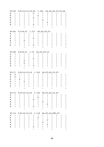| $F2-62$<br>N<br>N<br>N<br>N<br>N<br>$\mathbf N$             | 5:8:10:12:16:20                | O<br>O<br>0<br>0 | 1.242 A2, F2, A3, C3, F3, A4<br>Ő<br>O |  |
|-------------------------------------------------------------|--------------------------------|------------------|----------------------------------------|--|
| $F2-64$<br>Χ<br>X<br>N<br>N<br>O<br>N                       | $5:5:8:12$ 1.217<br>O          | Ő<br>O           | A2, A2, F2, C3                         |  |
| $F2 - 68$<br>Χ<br>X<br>N<br>N<br>$\mathbf N$<br>${\tt N}$   | 5:6:8:12<br>0<br>O             | 1.15<br>O<br>0   | A2, C2, F2, C3                         |  |
| $F2 - 71$<br>N<br>O<br>N<br>O<br>N<br>N<br>$\mathsf O$<br>X | $5:8:10:12:16$ 1.142<br>O<br>O |                  | A2, F2, A3, C3, F3                     |  |
| X<br>N<br>N<br>N<br>N<br>N                                  | $F2-72$ 5:8:10:12:16 1.142     | O<br>0<br>O      | A2, F2, A3, C3, F3<br>0<br>O           |  |
| $F2 - 74$<br>Χ<br>N<br>N<br>N<br>N<br>N                     | $5:8:10:14:16$ 1.118           | 0<br>O           | A2, F2, A3, D#3, F3<br>O<br>O.<br>O    |  |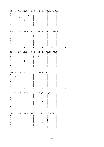| $F2 - 78$<br>N<br>N<br>N<br>N<br>O<br>Χ      | $5:8:10:14:20$ 1.093<br>O<br>O<br>Ő | O           | A2, F2, A3, D#3, A4            |  |
|----------------------------------------------|-------------------------------------|-------------|--------------------------------|--|
| $F2 - 83$<br>N<br>N<br>N<br>N<br>O<br>Χ      | $5:8:12:14:20$ 1.059<br>O<br>O      | O<br>Ő      | A2, F2, C3, D#3, A4            |  |
| N<br>N<br>N<br>N<br>O<br>Χ                   | $F2-85$ 5:8:12:16:20 1.042<br>Ő     | Ő<br>O<br>0 | A2, F2, C3, F3, A4             |  |
| $F2 - 88$<br>Χ<br>N<br>O<br>N<br>N<br>O<br>Χ | $5:8:10:12$ 1.017<br>O<br>Ő         |             | A2, F2, A3, C3                 |  |
| X<br>Χ<br>N<br>N<br>N<br>N                   | $F2-89$ 5:8:10:12 1.017             | O<br>O      | A2, F2, A3, C3<br>O<br>O       |  |
| $F2 - 91$<br>X<br>X<br>N<br>N<br>N<br>N      | $5:8:10:14$ 0.993                   | $\mathsf O$ | A2, F2, A3, D#3<br>O<br>O<br>O |  |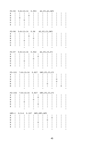| $F2 - 92$   | 5:8:10:14                              | 0.993 | A2, F2, A3, D#3 |   |   |
|-------------|----------------------------------------|-------|-----------------|---|---|
| Χ           |                                        |       |                 |   |   |
| N           | O                                      |       |                 |   |   |
| N           | 0                                      |       |                 |   |   |
|             |                                        |       |                 |   |   |
| N           | 0                                      |       |                 |   |   |
| $\mathsf O$ |                                        |       |                 |   |   |
| X           |                                        |       |                 |   |   |
|             |                                        |       |                 |   |   |
|             |                                        |       |                 |   |   |
| $F2-96$     | $5:8:12:14$ 0.96 A2, F2, C3, D#3       |       |                 |   |   |
| Χ           |                                        |       |                 |   |   |
| N           | O                                      |       |                 |   |   |
| N           |                                        | O     |                 |   |   |
| N           | Ő                                      |       |                 |   |   |
|             |                                        |       |                 |   |   |
| $\mathsf O$ |                                        |       |                 |   |   |
| X           |                                        |       |                 |   |   |
|             |                                        |       |                 |   |   |
|             |                                        |       |                 |   |   |
| $F2 - 97$   | $5:8:12:16$ 0.942                      |       | A2, F2, C3, F3  |   |   |
| Χ           |                                        |       |                 |   |   |
| N           |                                        | O     |                 |   |   |
| N           |                                        | O     |                 |   |   |
| N           | O                                      |       |                 |   |   |
| $\mathsf O$ |                                        |       |                 |   |   |
| X           |                                        |       |                 |   |   |
|             |                                        |       |                 |   |   |
|             |                                        |       |                 |   |   |
|             |                                        |       |                 |   |   |
|             |                                        |       |                 |   |   |
|             | $F2-101$ 7:8:12:16 0.827               |       | D#2, F2, C3, F3 |   |   |
| X           |                                        |       |                 |   |   |
| X           |                                        |       |                 |   |   |
| N           |                                        |       |                 | 0 |   |
| N           |                                        |       |                 | 0 |   |
| N           |                                        |       | Ő               |   |   |
| N           |                                        |       |                 |   | O |
|             |                                        |       |                 |   |   |
|             |                                        |       |                 |   |   |
|             |                                        |       |                 |   |   |
|             | F2-102 7:8:12:16 0.827 D#2, F2, C3, F3 |       |                 |   |   |
| X           |                                        |       |                 |   |   |
| ${\rm N}$   |                                        | O     |                 |   |   |
| N           |                                        | 0     |                 |   |   |
| N           | O                                      |       |                 |   |   |
| N           |                                        | O     |                 |   |   |
| $\mathbf X$ |                                        |       |                 |   |   |
|             |                                        |       |                 |   |   |
|             |                                        |       |                 |   |   |
|             | G#2-1 2:3:4 2.167 G#2, D#3, G#3        |       |                 |   |   |
| X           |                                        |       |                 |   |   |
| ${\bf N}$   |                                        |       |                 | 0 |   |
| N           |                                        |       | 0               |   |   |
| N           |                                        | 0     |                 |   |   |
|             |                                        |       |                 |   |   |
| X<br>X      |                                        |       |                 |   |   |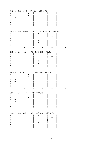| N<br>N<br>N<br>O<br>X<br>Χ<br>Χ                | G#2-2 2:3:4 2.167 G#2, D#3, G#3<br>$\mathsf O$<br>O                  |
|------------------------------------------------|----------------------------------------------------------------------|
| N<br>N<br>N<br>N<br>N<br>Χ                     | G#2-3 3:4:6:8:9 1.972 D#2, G#2, D#3, G#3, A#4<br>O<br>D<br>0<br>O    |
| Χ<br>N<br>N<br>N<br>N<br>Χ                     | $G#2-4$ 3:4:6:8 1.75<br>D#2, G#2, D#3, G#3<br>O<br>O<br>O.<br>O      |
| N<br>N<br>N<br>O<br>O<br>N<br>Χ<br>Χ           | $G#2-5$ 3:4:6:8<br>D#2, G#2, D#3, G#3<br>1.75<br>O<br>O              |
| X<br>N<br>N<br>O<br>$\mathsf O$<br>N<br>X<br>X | $G#2-6$ 3:4:6<br>1.5<br>D#2, G#2, D#3<br>O                           |
| $G#2-7$<br>N<br>N<br>N<br>N<br>X<br>X          | $4:6:8:9$ 1.306<br>$G#2$ , $D#3$ , $G#3$ , $A#4$<br>O<br>0<br>0<br>O |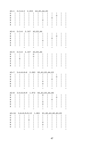| $A3 - 1$<br>$\mathsf O$<br>N<br>N<br>N<br>X<br>X           |               | $2:3:4:3$ 2.833                     | A3, E3, A4, E3<br>Ő                                       | 0<br>0 |  |
|------------------------------------------------------------|---------------|-------------------------------------|-----------------------------------------------------------|--------|--|
| $A3 - 4$<br>X<br>N<br>N<br>N<br>X<br>X                     | $2:3:4$ 2.167 |                                     | A3, E3, A4<br>O                                           | O<br>O |  |
| $A3 - 5$<br>N<br>N<br>N<br>X<br>X<br>X                     | 2:3:4<br>O    | 2.167<br>$\mathsf O$<br>$\mathsf O$ | A3, E3, A4                                                |        |  |
| $A3 - 7$<br>$\mathsf O$<br>N<br>N<br>N<br>N<br>X           |               | $3:4:6:8:6$ 2.083                   | E2, A3, E3, A4, E3<br>O<br>O                              | O<br>O |  |
| $A3 - 8$<br>N<br>$\mathbf N$<br>N<br>N<br>N<br>X           |               |                                     | $3:4:6:8:9$ 1.972 E2, A3, E3, A4, B4<br>O<br>O<br>O       | O<br>0 |  |
| $\mathsf O$<br>${\mathsf o}$<br>N<br>N<br>N<br>$\mathsf O$ |               | O                                   | A3-16 3:6:8:9:9:12 1.861 E1, E2, A3, B3, B3, E3<br>O<br>O |        |  |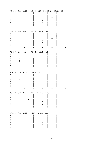| $A3 - 24$<br>O<br>$\mathsf O$<br>N<br>N<br>N<br>$\mathsf O$                 | 3:6:8:12:9:12                                                     | 1.806<br>O<br>$\mathsf O$                    | E1, E2, A3, E3, B3, E3<br>Ő |
|-----------------------------------------------------------------------------|-------------------------------------------------------------------|----------------------------------------------|-----------------------------|
| $A3 - 26$<br>X<br>N<br>N<br>N<br>N<br>X                                     | 3:4:6:8<br>1.75                                                   | E2, A3, E3, A4<br>O<br>$\mathsf O$           | O<br>O                      |
| $A3 - 27$<br>N<br>N<br>N<br>N<br>Χ<br>X                                     | 3:4:6:8<br>1.75<br>$\mathsf O$<br>$\mathsf O$<br>$\mathsf O$<br>O | E2, A3, E3, A4                               |                             |
| $A3 - 35$<br>X<br>N<br>N<br>N<br>Χ<br>X                                     | 3:4:6<br>1.5<br>O<br>O<br>O                                       | E2, A3, E3                                   |                             |
| X<br>$\mathbf X$<br>${\tt N}$<br>N<br>N<br>${\mathsf o}$                    | A3-38 3:6:8:9 1.472<br>0                                          | E1, E2, A3, B3<br>$\mathsf O$<br>$\mathsf O$ |                             |
| $A3 - 42$<br>X<br>$\mathbf X$<br>$\rm N$<br>${\tt N}$<br>N<br>${\mathsf o}$ | 3:6:8:12<br>1.417                                                 | E1, E2, A3, E3<br>$\mathsf O$<br>$\mathsf O$ | O                           |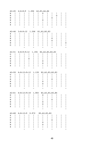| $A3 - 45$<br>N<br>N<br>N<br>N<br>X<br>X                     | 4:6:8:9                 | 1.306 | A3, E3, A4, B4<br>Ő<br>O          | O<br>O      |
|-------------------------------------------------------------|-------------------------|-------|-----------------------------------|-------------|
| $A3 - 46$<br>X<br>X<br>N<br>N<br>N<br>$\mathsf O$           | 3:8:9:12                | 1.306 | E1, A3, B3, E3                    | O<br>O<br>ر |
| $A3 - 51$<br>$\mathsf O$<br>$\mathbf O$<br>N<br>N<br>N<br>X | $6:8:9:9:12$ 1.194<br>O |       | E2, A3, B3, B3, E3<br>O<br>0      |             |
| $A3 - 59$<br>$\mathsf O$<br>$\mathsf O$<br>N<br>N<br>N<br>X | $6:8:12:9:12$ 1.139     |       | E2, A3, E3, B3, E3<br>O<br>O      | Ő           |
| N<br>$\mathsf O$<br>$\mathbf N$<br>N<br>N<br>X              | A3-61 6:8:12:9:18       | 1.083 | E2, A3, E3, B3, B4<br>O<br>O<br>O | O           |
| $A3 - 68$<br>X<br>$\mathsf O$<br>$\mathbf N$<br>N<br>N<br>X | 6:8:12:9                | 0.972 | E2, A3, E3, B3<br>0<br>O          | O           |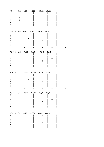| $A3 - 69$<br>$\mathsf O$<br>$\mathsf O$<br>N<br>N<br>X<br>X | 6:8:9:12<br>0.972<br>O<br>$\mathsf O$ | E2, A3, B3, E3           |
|-------------------------------------------------------------|---------------------------------------|--------------------------|
| $\mathbf O$<br>$\mathsf O$<br>N<br>N<br>X<br>X              | A3-70 8:9:9:12 0.861<br>O             | A3, B3, B3, E3<br>O      |
| O<br>$\mathsf O$<br>N<br>N<br>X<br>X                        | A3-72 8:12:9:12 0.806                 | A3, E3, B3, E3<br>O<br>O |
| $A3 - 73$<br>$\mathsf O$<br>N<br>N<br>N<br>X<br>X           | 8:9:12:12 0.806<br>O<br>O             | A3, B3, E3, E3<br>O      |
| $\mathsf O$<br>${\mathsf o}$<br>N<br>N<br>X<br>X            | A3-74 8:12:9:12 0.806                 | A3, E3, B3, E3<br>O<br>0 |
| $A3 - 75$<br>N<br>${\mathsf o}$<br>${\tt N}$<br>N<br>X<br>X | 8:9:9:18 0.806<br>0                   | A3, B3, B3, B4<br>O<br>O |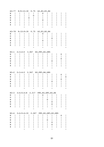| $A3 - 77$<br>N<br>N<br>N<br>N<br>X<br>X             | 8:9:12:18<br>0.75<br>0                    | A3, B3, E3, B4<br>Ő<br>O                                  |             |
|-----------------------------------------------------|-------------------------------------------|-----------------------------------------------------------|-------------|
| $A3 - 78$<br>N<br>${\mathsf o}$<br>N<br>N<br>X<br>X | 8:12:9:18 0.75                            | A3, E3, B3, B4<br>O<br>O<br>O                             |             |
| $B3-1$<br>N<br>O<br>N<br>N<br>X<br>X                | $2:3:2:5$ 3.067                           | B3, F#3, B3, D#4<br>O                                     | 0<br>0      |
| $B3-2$<br>N<br>${\tt N}$<br>N<br>N<br>Χ<br>X        | $2:3:4:5$ 2.567                           | B3, F#3, B4, D#4<br>O.                                    | O<br>O<br>O |
| N<br>$\mathsf O$<br>N<br>N<br>N<br>X                | B3-3 3:4:5:4:8 2.317 F#2, B3, D#3, B3, B4 | O<br>O<br>O<br>O                                          |             |
| $B3-4$<br>N<br>$\mathsf O$<br>N<br>N<br>N<br>X      |                                           | $3:4:5:4:10$ 2.267 $F#2, B3, D#3, B3, D#4$<br>O<br>O<br>O | 0           |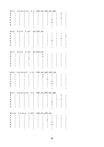| $B3-5$        |                         | $3:4:6:4:10$ 2.2 $F#2,B3,F#3,B3,D#4$     |   |   |   |
|---------------|-------------------------|------------------------------------------|---|---|---|
| N             |                         |                                          |   | O |   |
| $\mathsf O$   |                         |                                          |   |   |   |
| N             |                         |                                          |   | O |   |
|               |                         |                                          |   |   |   |
| N             |                         |                                          | O |   |   |
| N             |                         |                                          | O |   |   |
| Χ             |                         |                                          |   |   |   |
|               |                         |                                          |   |   |   |
|               |                         |                                          |   |   |   |
| $B3-6$        | $2:3:4$ 2.167           | B3, F#3, B4                              |   |   |   |
| Χ             |                         |                                          |   |   |   |
| N             |                         |                                          |   |   | O |
| N             |                         |                                          |   | O |   |
| N             |                         |                                          | O |   |   |
| X             |                         |                                          |   |   |   |
|               |                         |                                          |   |   |   |
| X             |                         |                                          |   |   |   |
|               |                         |                                          |   |   |   |
|               |                         |                                          |   |   |   |
| $B3 - 7$      | 2:3:4 2.167 B3, F#3, B4 |                                          |   |   |   |
| N             |                         | O                                        |   |   |   |
| N             |                         | O                                        |   |   |   |
| N             | O                       |                                          |   |   |   |
| X             |                         |                                          |   |   |   |
| X             |                         |                                          |   |   |   |
| X             |                         |                                          |   |   |   |
|               |                         |                                          |   |   |   |
|               |                         |                                          |   |   |   |
|               |                         |                                          |   |   |   |
| $B3-8$        | $3:4:5:6:8$ 2.15        | $F#2$ , B3, D#3, $F#3$ , B4              |   |   |   |
| N             |                         | O                                        |   |   |   |
| N             |                         | O                                        |   |   |   |
| N             |                         |                                          | O |   |   |
| N             |                         |                                          | 0 |   |   |
|               |                         |                                          | O |   |   |
| N             |                         |                                          |   |   |   |
| X             |                         |                                          |   |   |   |
|               |                         |                                          |   |   |   |
|               |                         |                                          |   |   |   |
| $B3-9$        |                         | $3:4:6:4:10$ 2.2 $FF#2,B3, F#3, B3, D#4$ |   |   |   |
| N             |                         |                                          |   | O |   |
| ${\mathsf o}$ |                         |                                          |   |   |   |
| N             |                         |                                          |   | O |   |
| N             |                         |                                          | O |   |   |
| N             |                         |                                          | O |   |   |
| X             |                         |                                          |   |   |   |
|               |                         |                                          |   |   |   |
|               |                         |                                          |   |   |   |
| $B3 - 10$     | $3:4:5:4$ 2.067         | $F#2$ , B3, D#3, B3                      |   |   |   |
| X             |                         |                                          |   |   |   |
| $\mathsf O$   |                         |                                          |   |   |   |
| N             |                         |                                          | O |   |   |
| N             |                         |                                          | 0 |   |   |
| N             |                         |                                          | O |   |   |
| X             |                         |                                          |   |   |   |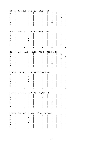| $B3 - 11$<br>X<br>$\mathsf O$<br>N<br>N<br>N<br>X | $3:4:6:4$ 2.0         |                                | F#2, B3, F#3, B3            | O<br>O                                               | O.          |
|---------------------------------------------------|-----------------------|--------------------------------|-----------------------------|------------------------------------------------------|-------------|
| $B3 - 12$<br>N<br>$\mathsf O$<br>N<br>N<br>X<br>X | $3:4:4:6$ 2.0<br>O    | 0<br>O                         | F#2, B3, B3, F#3            |                                                      |             |
| $B3 - 13$<br>N<br>N<br>N<br>N<br>N<br>X           |                       |                                |                             | $3:4:6:8:10$ 1.95 $FF#2, B3, F#3, B4, D#4$<br>O<br>O | O<br>O<br>O |
| $B3 - 14$<br>N<br>N<br>N<br>N<br>Χ<br>X           | 3:4:5:6<br>O          | 1.9<br>O<br>O<br>O             | F#2, B3, D#3, F#3           |                                                      |             |
| X<br>N<br>N<br>N<br>N<br>X                        | $B3-15$ $3:4:5:6$ 1.9 |                                | F#2, B3, D#3, F#3<br>O<br>O | O<br>O                                               |             |
| $B3 - 16$<br>N<br>${\bf N}$<br>N<br>N<br>X<br>X   | 3:4:5:8               | 1.817<br>$\mathsf O$<br>O<br>O | F#2, B3, D#3, B4<br>O       |                                                      |             |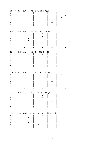| $B3 - 17$<br>X<br>N<br>N<br>N<br>N<br>X           | $3:4:6:8$ 1.75                       |                  | F#2, B3, F#3, B4           | O<br>O                | D<br>O |  |
|---------------------------------------------------|--------------------------------------|------------------|----------------------------|-----------------------|--------|--|
| N<br>N<br>N<br>N<br>X<br>X                        | B3-18 3:4:6:8 1.75                   | O<br>$\mathsf O$ | F#2, B3, F#3, B4<br>O<br>O |                       |        |  |
| $B3 - 19$<br>N<br>O<br>N<br>N<br>X<br>X           | $4:5:4:8$ 1.65                       |                  | B3, D#3, B3, B4<br>Ő<br>O  | O                     |        |  |
| $B3 - 20$<br>N<br>$\mathsf O$<br>N<br>N<br>X<br>X | $4:5:4:10$ 1.6                       |                  | B3, D#3, B3, D#4<br>O      | O                     | O      |  |
| N<br>N<br>N<br>N<br>X<br>X                        | B3-21 4:5:6:8 1.483 B3, D#3, F#3, B4 |                  | O<br>$\mathsf O$<br>O      | O                     |        |  |
| $B3-22$<br>N<br>N<br>N                            | $5:6:8:10:16$ 1.308                  | $\mathsf O$<br>O | O                          | D#2, F#2, B3, D#3, B4 |        |  |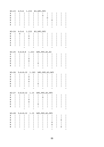| Χ<br>N<br>N<br>N<br>X<br>X              | B3-23 4:5:6 1.233                                                 | B3, D#3, F#3<br>O<br>O<br>O            |        |
|-----------------------------------------|-------------------------------------------------------------------|----------------------------------------|--------|
| $B3 - 24$<br>N<br>N<br>N<br>X<br>X<br>X | $4:5:6$ 1.233<br>O<br>0<br>O                                      | B3, D#3, F#3                           |        |
| X<br>$\mathsf O$<br>N<br>N<br>N<br>X    | B3-25 5:6:8:8 1.233<br>O<br>$\mathsf O$                           | D#2, F#2, B3, B3<br>O                  |        |
| Χ<br>N<br>N<br>N<br>N<br>X              | B3-26 5:6:8:10 1.183<br>$\mathbf O$<br>$\mathbf O$<br>$\mathsf O$ | D#2, F#2, B3, D#3<br>O                 |        |
| Χ<br>N<br>N<br>N<br>N<br>X              | B3-27 5:6:8:12 1.15 D#2, F#2, B3, F#3<br>O<br>$\mathsf O$         | 0<br>O                                 |        |
| $B3 - 28$<br>Χ<br>X<br>N<br>N<br>N<br>N | 5:6:8:12<br>1.15                                                  | $D#2$ , $F#2$ , $B3$ , $F#3$<br>O<br>O | Ο<br>O |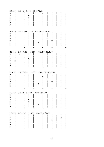| $B3 - 29$      | $4:5:8$ 1.15<br>B3, D#3, B4                    |  |
|----------------|------------------------------------------------|--|
| N              | O                                              |  |
| N              | O                                              |  |
| N              | O                                              |  |
| X              |                                                |  |
| X              |                                                |  |
| X              |                                                |  |
|                |                                                |  |
|                |                                                |  |
| $B3 - 30$<br>X | $5:8:10:8$ 1.1<br>$D#2$ , B3, $D#3$ , B3       |  |
| $\mathsf O$    |                                                |  |
| N              | Ő                                              |  |
| N              | Ő                                              |  |
| N              | O                                              |  |
| X              |                                                |  |
|                |                                                |  |
|                |                                                |  |
|                | B3-31 5:8:8:12<br>1.067<br>$D#2$ , B3, B3, F#3 |  |
| N              | O                                              |  |
| $\mathsf O$    |                                                |  |
| N              | O                                              |  |
| N<br>O         |                                                |  |
| X              |                                                |  |
| X              |                                                |  |
|                |                                                |  |
|                |                                                |  |
|                |                                                |  |
|                | B3-32 5:8:10:12 1.017 D#2, B3, D#3, F#3        |  |
| Χ              | O                                              |  |
| N<br>N         | O                                              |  |
| N              | O                                              |  |
| N              | O                                              |  |
| X              |                                                |  |
|                |                                                |  |
|                |                                                |  |
|                | B3-33 5:6:8 0.983<br>D#2, F#2, B3              |  |
| X              |                                                |  |
| $\mathbf X$    |                                                |  |
| ${\tt N}$      | O                                              |  |
| ${\bf N}$      | O                                              |  |
| N              | O                                              |  |
| X              |                                                |  |
|                |                                                |  |
| $C3 - 34$      | $4:5:7:5$ 1.586<br>C3, E3, A#4, E3             |  |
| $\mathsf O$    |                                                |  |
| $\rm N$        | 0                                              |  |
| $\rm N$        | O                                              |  |
| $\rm N$        | О                                              |  |
| X              |                                                |  |
| X              |                                                |  |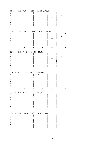| $C3 - 39$<br>N<br>${\bf N}$<br>${\bf N}$<br>${\bf N}$<br>X<br>X                | 4:5:7:8                    | $1.436$ C3, E3, A#4, C4                    | O<br>0               | O | 0      |
|--------------------------------------------------------------------------------|----------------------------|--------------------------------------------|----------------------|---|--------|
| N<br>N<br>N<br>N<br>X<br>X                                                     | $C3-41$ $4:5:7:10$ $1.386$ |                                            | C3, E3, A#4, E4<br>0 | O | O<br>O |
| $C3 - 55$<br>X                                                                 | 4:5:7                      | $1.186$ $C3, E3, A#4$                      |                      |   |        |
| ${\bf N}$<br>N<br>N<br>X<br>$\mathbf X$                                        |                            |                                            | 0                    | O | O      |
| $C3 - 56$<br>N<br>N<br>N<br>$\mathbf X$<br>X<br>X                              | 4:5:7                      | $1.186$ $C3, E3, A#4$<br>O<br>O<br>$\circ$ |                      |   |        |
| ${\bf N}$<br>$\rm N$<br>${\tt N}$<br>$\mathbf X$<br>$\mathbf X$<br>$\mathbf X$ | $C3-62$ 4:5:8<br>1.15      | C3, E3, C4<br>$\mathsf O$<br>$\mathsf O$   | O                    |   |        |
| $C3 - 73$<br>$\mathsf O$<br>${\bf N}$<br>$\rm N$<br>$\mathbf N$<br>X<br>X      | 5:8:10:10<br>O             | 1.05<br>O<br>$\mathsf O$                   | E2, C3, E3, E3       |   |        |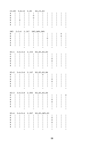| $C3 - 89$     | 5:8:10               | 0.85  | E2, C3, E3      |   |             |   |
|---------------|----------------------|-------|-----------------|---|-------------|---|
| X             |                      |       |                 |   |             |   |
| ${\bf N}$     |                      | O     |                 |   |             |   |
| N             |                      | O     |                 |   |             |   |
| N             | O                    |       |                 |   |             |   |
| X             |                      |       |                 |   |             |   |
| $\mathbf X$   |                      |       |                 |   |             |   |
|               |                      |       |                 |   |             |   |
|               |                      |       |                 |   |             |   |
| D#3           | 2:3:4                | 2.167 | D#3, A#4, D#4   |   |             |   |
| N             |                      |       |                 |   | $\mathsf O$ |   |
| N             |                      |       |                 |   | O           |   |
| N             |                      |       | O               |   |             |   |
| $\mathbf X$   |                      |       |                 |   |             |   |
| X             |                      |       |                 |   |             |   |
| $\mathbf X$   |                      |       |                 |   |             |   |
|               |                      |       |                 |   |             |   |
|               |                      |       |                 |   |             |   |
| $E3-1$        | 3:4:3:4              | 2.333 | B3, E3, B3, E3  |   |             |   |
| $\mathsf O$   |                      |       |                 |   |             |   |
| ${\mathsf o}$ |                      |       |                 |   |             |   |
| N             |                      |       |                 | O |             |   |
| N             |                      |       |                 | O |             |   |
| X             |                      |       |                 |   |             |   |
| $\mathbf X$   |                      |       |                 |   |             |   |
|               |                      |       |                 |   |             |   |
|               |                      |       |                 |   |             |   |
|               | E3-2 $3:4:3:6$ 2.167 |       | B3, E3, B3, B4  |   |             |   |
| N             |                      |       | O               |   |             |   |
| $\mathsf O$   |                      |       |                 |   |             |   |
| N             |                      |       |                 | O |             |   |
| N             |                      |       |                 | 0 |             |   |
| X             |                      |       |                 |   |             |   |
| X             |                      |       |                 |   |             |   |
|               |                      |       |                 |   |             |   |
|               |                      |       |                 |   |             |   |
|               | E3-3 $3:4:3:8$ 2.083 |       | B3, E3, B3, E4  |   |             |   |
| N             |                      |       |                 |   |             | O |
| $\mathsf O$   |                      |       |                 |   |             |   |
| ${\bf N}$     |                      |       |                 | 0 |             |   |
| N             |                      |       |                 | 0 |             |   |
| $\mathbf X$   |                      |       |                 |   |             |   |
| $\mathbf X$   |                      |       |                 |   |             |   |
|               |                      |       |                 |   |             |   |
|               |                      |       |                 |   |             |   |
| $E3-4$        | $3:4:5:4$ 2.067      |       | B3, E3, G#3, E3 |   |             |   |
| $\mathbf O$   |                      |       |                 |   |             |   |
| ${\bf N}$     |                      |       |                 | 0 |             |   |
| $\rm N$       |                      |       |                 | O |             |   |
| $\mathbf N$   |                      |       |                 | O |             |   |
| X             |                      |       |                 |   |             |   |
| $\mathbf X$   |                      |       |                 |   |             |   |
|               |                      |       |                 |   |             |   |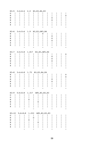| $E3-5$<br>$\mathsf O$<br>$\mathbf N$<br>N<br>N<br>X<br>$\mathbf X$            | $3:4:6:4$ 2.0   |            | B3, E3, B4, E3  |                 | 0<br>0      | D      |
|-------------------------------------------------------------------------------|-----------------|------------|-----------------|-----------------|-------------|--------|
| $E3-6$<br>N<br>N<br>N<br>$\mathbf N$<br>X<br>X                                | $3:4:5:6$ 1.9   |            | B3, E3, G#3, B4 | O               | O<br>O<br>O |        |
| $E3-7$<br>N<br>N<br>N<br>N<br>X<br>$\mathbf X$                                | $3:4:5:8$ 1.817 |            |                 | B3, E3, G#3, E4 | O<br>O<br>O | ⊃      |
| $E3-8$<br>N<br>N<br>N<br>N<br>X<br>X                                          | 3:4:6:8         | 1.75       | B3, E3, B4, E4  |                 | O<br>O      | O<br>0 |
| $E3-9$<br>$\mathsf O$<br>$\mathsf O$<br>$\mathbf N$<br>N<br>X<br>X            | $5:6:6:8$ 1.317 | O          | O               | G#2, B3, B3, E3 |             |        |
| $E3 - 10$<br>$\mathsf O$<br>$\mathbf N$<br>${\tt N}$<br>$\mathbf N$<br>X<br>X | 5:6:8:8         | 1.233<br>O | O<br>O          | G#2, B3, E3, E3 |             |        |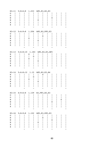| $E3 - 11$<br>O<br>O<br>N                                             | 5:8:6:8               | 1.233       | G#2,E3,B3,E3                        | O |   |
|----------------------------------------------------------------------|-----------------------|-------------|-------------------------------------|---|---|
| $\mathbf N$<br>X<br>X                                                |                       |             | O                                   |   |   |
| $\mathbf O$<br>N<br>N<br>N<br>X<br>X                                 | E3-12 $5:6:9:8$ 1.206 | O           | G#2, B3, F#3, E3<br>O<br>O          |   |   |
| $E3 - 13$<br>N<br>N<br>N<br>N<br>X<br>X                              | $5:6:8:10$ 1.183      | O<br>O<br>0 | G#2, B3, E3, G#3<br>O               |   |   |
| N<br>N<br>N<br>N<br>Χ<br>X                                           | $E3-14$ 5:6:8:12 1.15 | O<br>Ő      | G#2, B3, E3, B4<br>O<br>Ő           |   |   |
| $\mathsf O$<br>$\mathsf O$<br>N<br>N<br>X<br>X                       |                       |             | E3-15 6:9:6:8 1.139 B3, F#3, B3, E3 | O | O |
| $E3 - 16$<br>$\mathsf O$<br>${\bf N}$<br>$\, {\rm N}$<br>N<br>X<br>X | $5:8:9:8$ 1.122       |             | G#2, E3, F#3, E3<br>O<br>O          | 0 |   |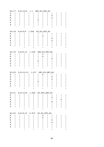| $\mathsf O$              | $E3-17$ 5:8:10:8                       |       | 1.1 $G#2, E3, G#3, E3$ |        |   |  |
|--------------------------|----------------------------------------|-------|------------------------|--------|---|--|
| N<br>N                   |                                        |       |                        | O<br>O |   |  |
| N                        |                                        |       | O                      |        |   |  |
| X                        |                                        |       |                        |        |   |  |
| X                        |                                        |       |                        |        |   |  |
|                          |                                        |       |                        |        |   |  |
| $E3-18$                  | $6:8:9:8$ 1.056                        |       | B3, E3, F#3, E3        |        |   |  |
| $\mathsf O$<br>${\bf N}$ |                                        |       | Ő                      |        |   |  |
| N                        |                                        |       |                        | O      |   |  |
| N                        |                                        |       |                        | O      |   |  |
| X<br>X                   |                                        |       |                        |        |   |  |
|                          |                                        |       |                        |        |   |  |
|                          |                                        |       |                        |        |   |  |
| N                        | E3-19 $5:8:9:12$ 1.039                 |       | G#2, E3, F#3, B4<br>O  |        |   |  |
| N                        |                                        |       | O                      |        |   |  |
| N                        |                                        |       |                        | O      |   |  |
| N<br>X                   |                                        |       | O                      |        |   |  |
| X                        |                                        |       |                        |        |   |  |
|                          |                                        |       |                        |        |   |  |
|                          |                                        |       |                        |        |   |  |
|                          |                                        |       |                        |        |   |  |
| N                        | E3-20 5:8:10:12 1.017 G#2, E3, G#3, B4 |       | O                      |        |   |  |
| N                        |                                        |       |                        | O      |   |  |
| N                        |                                        |       |                        | O      |   |  |
| N<br>X                   |                                        |       | Ő                      |        |   |  |
| X                        |                                        |       |                        |        |   |  |
|                          |                                        |       |                        |        |   |  |
|                          | E3-21 $6:9:10:8$ 1.006                 |       | B3, F#3, G#3, E3       |        |   |  |
| $\mathsf O$              |                                        |       |                        |        |   |  |
| ${\bf N}$                |                                        |       |                        | O      |   |  |
| N<br>N                   |                                        |       |                        | O      | O |  |
| X                        |                                        |       |                        |        |   |  |
| X                        |                                        |       |                        |        |   |  |
|                          |                                        |       |                        |        |   |  |
| $E3-22$                  | 6:8:9:12                               | 0.972 | B3, E3, F#3, B4        |        |   |  |
| N<br>N                   |                                        |       | 0<br>O                 |        |   |  |
| N                        |                                        |       |                        | 0      |   |  |
| N                        |                                        |       |                        | O      |   |  |
| X<br>X                   |                                        |       |                        |        |   |  |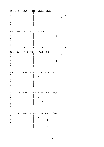| $E3 - 23$<br>$\mathsf O$<br>N<br>N<br>N<br>X<br>X        | 6:9:12:8            | 0.972           | B3, F#3, B4, E3                         | O.<br>0<br>O     |
|----------------------------------------------------------|---------------------|-----------------|-----------------------------------------|------------------|
| $F3-1$<br>N<br>N<br>N<br>N<br>X<br>X                     | 3:4:5:6             | 1.9             | C3, F3, A4, C4<br>O                     | O<br>O<br>O      |
| $F3-2$<br>N<br>N<br>N<br>N<br>X<br>X                     | 3:4:5:7             | 1.852           | C3, F3, A4, D#4                         | O<br>O<br>0<br>O |
| $F3-3$<br>X<br>N<br>N<br>N<br>O<br>N                     | 5:5:10:12:16        | 1.292<br>O<br>O | A2, A2, A3, C3, F3<br>O<br>Ő            |                  |
| X<br>$\mathbf N$<br>$\mathbf N$<br>N<br>$\mathsf O$<br>N | $F3-4$ 5:5:10:14:16 | 1.268<br>O      | A2, A2, A3, D#3, F3<br>O<br>O<br>0      |                  |
| $F3-5$<br>X<br>N<br>$\mathbf N$<br>N<br>$\mathsf O$<br>N | 6:5:10:14:16        | 1.201           | C2, A2, A3, D#3, F3<br>0<br>O<br>O<br>O |                  |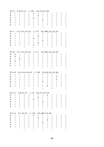| $F3-6$<br>N<br>N<br>N<br>N<br>Χ<br>X                                                              | 5:6:8:10                   | O<br>O     | 1.183 A3, C3, F3, A4<br>O<br>Ő |                                   |  |
|---------------------------------------------------------------------------------------------------|----------------------------|------------|--------------------------------|-----------------------------------|--|
| $F3-7$<br>X<br>N<br>N<br>N<br>N<br>N                                                              | $5:7:10:12:16$ 1.177       | Ő<br>O     | O<br>O<br>0                    | A2, D#2, A3, C3, F3               |  |
| $F3-8$<br>$\mathsf O$<br>N<br>$\mathsf O$<br>N<br>$\mathbf{I}$<br>N<br>$\mathsf O$<br>N<br>O<br>X | $5:7:10:12:16$ 1.177<br>O  |            |                                | A2, D#2, A3, C3, F3               |  |
| Χ<br>N<br>N<br>N<br>O<br>N                                                                        | $F3-10$ 6:5:10:16:20 1.158 |            | 0                              | C2, A2, A3, F3, A4<br>0<br>O<br>Ő |  |
| N<br>$\mathbf N$<br>N<br>$\mathbf N$<br>X<br>X                                                    | $F3-11$ $5:6:8:12$ $1.15$  | O          | A3, C3, F3, C4<br>O<br>O       | Ő                                 |  |
| $F3 - 13$<br>N<br>${\bf N}$<br>N<br>${\tt N}$<br>X<br>X                                           | 5:7:8:10                   | 1.136<br>O | A3, D#3, F3, A4<br>O<br>O      | O                                 |  |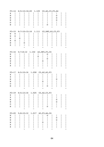| $F3 - 14$<br>Χ<br>N<br>N<br>N<br>O<br>N                                            | 6:5:12:16:20           |       | $1.125 \quad C2, A2, C3, F3, A4$<br>O    | O<br>$\mathsf O$<br>O |
|------------------------------------------------------------------------------------|------------------------|-------|------------------------------------------|-----------------------|
| $F3 - 15$<br>O<br>N<br>N<br>$\mathsf O$<br>N<br>$\overline{ }$<br>N<br>O<br>N<br>X | 0<br>0                 |       | 6:7:10:12:16 $1.111$ C2, D#2, A3, C3, F3 |                       |
| N<br>N<br>N<br>N<br>X<br>X                                                         | $F3-16$ 5:7:8:12 1.102 | O     | A3, D#3, F3, C4<br>Ő<br>O<br>O           |                       |
| X<br>X<br>N<br>N<br>0<br>N                                                         | $F3-17$ $6:5:10:16$    | 1.058 | C2, A2, A3, F3<br>O<br>O                 | Ő                     |
| X<br>X<br>${\bf N}$<br>N<br>$\mathsf O$<br>N                                       | $F3-19$ $6:5:12:16$    | 1.025 | C2, A2, C3, F3<br>O                      | 0<br>O                |
| $F3 - 20$<br>N<br>${\bf N}$<br>N<br>N<br>X<br>X                                    | 5:8:10:12              | 1.017 | A3, F3, A4, C4<br>O<br>O                 | O<br>O                |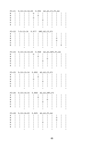| N<br>N<br>N<br>N<br>O<br>X                                | F3-21 5:10:12:16:20 0.992 A2, A3, C3, F3, A4<br>O<br>O<br>O<br>Ő  |
|-----------------------------------------------------------|-------------------------------------------------------------------|
| Χ<br>X<br>N<br>N<br>O<br>N                                | F3-22 7:5:12:16 $0.977$ D#2, A2, C3, F3<br>0<br>O<br>Ő            |
| N<br>N<br>N<br>N<br>O<br>X                                | F3-24 5:10:14:16:20 0.968 A2, A3, D#3, F3, A4<br>O<br>O<br>O<br>O |
| Χ<br>N<br>N<br>N<br>O<br>X                                | $F3-25$ 5:10:12:16 0.892<br>A2, A3, C3, F3<br>O<br>Ő<br>O         |
| X<br>$\mathbf N$<br>N<br>N<br>$\mathsf O$<br>X            | $F3-26$ 5:10:14:16 0.868<br>A2, A3, D#3, F3<br>O<br>O<br>O        |
| $F3 - 28$<br>Χ<br>${\tt N}$<br>N<br>N<br>$\mathsf O$<br>X | $5:10:16:20$ 0.825<br>A2, A3, F3, A4<br>O<br>O<br>O               |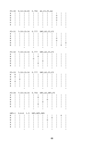| $F3 - 30$<br>X<br>N<br>N<br>N<br>${\mathsf o}$<br>X              | $5:12:16:20$ 0.792     | A2, C3, F3, A4<br>0<br>O<br>O                               |
|------------------------------------------------------------------|------------------------|-------------------------------------------------------------|
| X<br>X<br>N<br>$\, {\bf N}$<br>N<br>N                            | F3-31 7:10:12:16 0.777 | D#2, A3, C3, F3<br>O<br>O<br>┘<br>O                         |
| X<br>N<br>N<br>N<br>N<br>X                                       | F3-32 7:10:12:16 0.777 | D#2, A3, C3, F3<br>O<br>O<br>O<br>O                         |
| $F3 - 33$<br>O<br>N<br>N<br>$\mathsf O$<br>N<br>N<br>0<br>X<br>X | O                      | 7:10:12:16  0.777  D#2, A3, C3, F3                          |
| X<br>$\mathbf N$<br>$\mathbf N$<br>N<br>N<br>X                   |                        | F3-34 7:10:14:16 0.754 D#2, A3, D#3, F3<br>O<br>O<br>O<br>O |
| N<br>$\mathbf N$<br>$\mathbf N$<br>X<br>X<br>X                   | $G#3-1$ 3:4:6<br>1.5   | D#3,G#3,D#4<br>O<br>O<br>O                                  |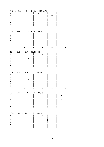| N<br>${\bf N}$<br>N<br>X<br>X<br>$\mathbf X$                                               | $G#3-2$ 6:8:9 |                                                            | $0.806$ D#3, G#3, A#4<br>O |   | O | $\mathbf{I}$<br>0 |        |  |
|--------------------------------------------------------------------------------------------|---------------|------------------------------------------------------------|----------------------------|---|---|-------------------|--------|--|
| $A3 - 2$<br>$\mathsf O$<br>${\mathsf o}$<br>N<br>X<br>X<br>X                               | O             | 8:9:12  0.639  A3, B3, E3                                  |                            |   |   |                   |        |  |
| $B3-1$<br>$\mathbf N$<br>$\mathsf O$<br>N<br>X<br>X<br>$\mathbf X$                         | 1:1:2 5.0     | O                                                          | B3, B3, B4                 | O |   |                   |        |  |
| $B3-2$<br>N<br>$\mathsf O$<br>N<br>X<br>X<br>$\mathbf X$                                   | 0             | $2:2:3$ 2.667 B3, B3, F#3<br>O<br>$\overline{\phantom{0}}$ |                            |   |   |                   |        |  |
| $B3-3$<br>$\rm N$<br>$\mathsf O$<br>${\tt N}$<br>$\mathbf X$<br>$\mathbf X$<br>$\mathbf X$ | 3:2:5         |                                                            | $2.067$ F#3, B3, D#4       |   |   |                   | O<br>O |  |
| $B3-4$<br>N<br>$\mathsf O$<br>${\tt N}$<br>$\mathbf X$<br>X<br>$\mathbf X$                 | 5:4:8         | 1.15                                                       | $D#3$ , B3, B4             | 0 | O |                   |        |  |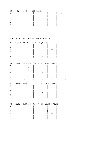| $B3-5$ | $5:4:10$ 1.1 | $D#3$ , B3, D#4 |  |  |  |  |
|--------|--------------|-----------------|--|--|--|--|
| N      |              |                 |  |  |  |  |
| 0      |              |                 |  |  |  |  |
| N      |              |                 |  |  |  |  |
| X      |              |                 |  |  |  |  |
| X      |              |                 |  |  |  |  |
| X      |              |                 |  |  |  |  |
|        |              |                 |  |  |  |  |

## Four non-lush clearly rooted chords

| A2           | 9:8:18:24      | 0.667 | B2, A2, B3, E3 |                     |  |
|--------------|----------------|-------|----------------|---------------------|--|
| X            |                |       |                |                     |  |
| X            |                |       |                |                     |  |
| N            |                |       |                | 0                   |  |
| N            |                |       |                | $\mathsf O$         |  |
| $\mathsf O$  |                |       |                |                     |  |
| N            |                |       |                |                     |  |
|              |                |       |                |                     |  |
|              |                |       |                |                     |  |
| A2           | 12:16:32:36:45 | 0.454 |                | E1, A2, A3, B3, D#3 |  |
| X            |                |       |                |                     |  |
| N            | O              |       |                |                     |  |
| N            | O              |       |                |                     |  |
| N            |                |       | O              |                     |  |
| O            |                |       |                |                     |  |
| $\mathsf{O}$ |                |       |                |                     |  |
|              |                |       |                |                     |  |
|              |                |       |                |                     |  |
| A2           | 12:16:32:45:36 | 0.454 |                | E1, A2, A3, D#3, B3 |  |
| X            |                |       |                |                     |  |
| $\mathsf O$  |                |       |                |                     |  |
| N            |                |       |                | O                   |  |
| N            |                |       | Ő              |                     |  |
| O            |                |       |                |                     |  |
| $\mathsf{O}$ |                |       |                |                     |  |
|              |                |       |                |                     |  |
|              |                |       |                |                     |  |
| A2           | 12:16:36:45:36 | 0.447 |                | E1, A2, B3, D#3, B3 |  |
| Χ            |                |       |                |                     |  |
| $\mathsf O$  |                |       |                |                     |  |
| N            |                |       |                |                     |  |
| N            |                |       |                | O                   |  |
|              |                |       |                |                     |  |
| $\mathsf O$  |                |       |                |                     |  |
| O            |                |       |                |                     |  |
|              |                |       |                |                     |  |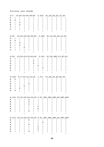## Six-note jazz chords 6-3 15:20:30:40:48:60 0.425 E1,A2,E2,A3,C3,E3 O | | | | | | | | | | | | N O | | | | | | | | | | | N | O | | | | | | | | | | N | O | | | | | | | | | | O | | | | | | | | | | | | | O | | | | | | | | | | | | - - - - - 6-25 15:24:30:40:48:60 0.408 E1,C2,E2,A3,C3,E3 O | | | | | | | | | | | | N O | | | | | | | | | | | N | O | | | | | | | | | | N | O | | | | | | | | | | N | | O | | | | | | | | | O | | | | | | | | | | | | | - - - - - 6-56 10:20:25:32:40:40 0.543 E1,E2,G#2,C3,E3,E3 O | | | | | | | | | | | | N | | | | O | | | | | | | N | | | | O | | | | | | | N | | | | | O | | | | | | N | | | | | | O | | | | | O | | | | | | | | | | | | | - - - - - 6-106 5:7:10:14:14:20 1.271 F1,B2,F2,B3,B3,F3 N O | | | | | | | | | | | O | | | | | | | | | | | | N | | | O | | | | | | | | N | | O | | | | | | | | | N | O | | | | | | | | | | N O | | | | | | | | | | | - - - - - 6-142 10:15:20:24:30:40 0.63 G#1,D#2,G#2,B3,D#3,G#3 N | | | O | | | | | | | | N | | | O | | | | | | | | N | | | O | | | | | | | | N | | | | | O | | | | | | N | | | | | O | | | | | | N | | | O | | | | | | | | - - - - - 6-143 10:15:20:24:36:40 0.62 G#1,D#2,G#2,B3,F#3,G#3 N | | | O | | | | | | | | N | | | | | | O | | | | | N | | | O | | | | | | | | N | | | | | O | | | | | | N | | | | | O | | | | | | N | | | O | | | | | | | | - - - - -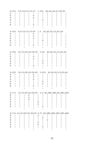| $6 - 153$<br>0<br>N<br>N<br>N<br>0<br>N | 5:5:10:12:15:15<br>O<br>0<br>O        | 1.433                 |                        | A2, A2, A3, C3, E3, E3                                   |
|-----------------------------------------|---------------------------------------|-----------------------|------------------------|----------------------------------------------------------|
| $6 - 154$<br>N<br>N<br>N<br>N<br>0<br>N | 5:5:10:12:15:20<br>O<br>O<br>0<br>O   | 1.4                   | A2, A2, A3, C3, E3, A4 |                                                          |
| $6 - 164$<br>0<br>N<br>N<br>N<br>N<br>N | 10:15:20:24:30:30<br>O<br>O<br>Ő      | 0.65<br>Ő<br>O        |                        | A2, E2, A3, C3, E3, E3                                   |
| $6 - 165$<br>N<br>N<br>N<br>N<br>N<br>N | 10:15:20:24:30:40<br>O<br>O<br>0<br>Ő | 0.633<br>O            |                        | A2, E2, A3, C3, E3, A4                                   |
| $6 - 173$<br>N<br>N<br>N<br>N<br>N<br>N | O<br>O<br>0                           | O                     |                        | 12:15:20:24:30:40  0.6 B2, D#2, G#2, B3, D#3, G#3        |
| N<br>N<br>N<br>N<br>N<br>N              |                                       | O<br>Ő<br>O<br>0<br>0 | O                      | 6-174 12:15:20:30:36:45 0.57 B2, D#2, G#2, D#3, F#3, A#4 |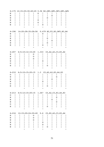| N<br>N<br>N<br>N<br>N<br>N                        | 6-175 12:15:20:30:40:45 0.56 B2, D#2, G#2, D#3, G#3, A#4 |                       | O<br>O<br>0   |                                            |                               |
|---------------------------------------------------|----------------------------------------------------------|-----------------------|---------------|--------------------------------------------|-------------------------------|
| $6 - 196$<br>N<br>O<br>N<br>N<br>N<br>N           | 14:20:28:35:28:56                                        |                       | O             | Ő<br>Ő                                     | 0.479 B2, F2, B3, D#3, B3, B4 |
| $6 - 207$<br>N<br>N<br>N<br>N<br>0<br>N           | 6:5:10:12:15:20                                          | O<br>O<br>0           | 1.333<br>Ő    | C2, A2, A3, C3, E3, A4                     |                               |
| $6 - 210$<br>0<br>N<br>N<br>N<br>0<br>N           | 6:5:10:15:20:15                                          |                       | 1.3<br>O      | C2, A2, A3, E3, A4, E3                     | O                             |
| $6 - 213$<br>O<br>N<br>N<br>N<br>$\mathsf O$<br>N | 6:5:12:15:20:15                                          |                       |               | $1.267$ $C2, A2, C3, E3, A4, E3$<br>Ő<br>O | 0<br>O                        |
| $6 - 216$<br>N<br>N<br>N<br>N<br>N<br>N           | 12:15:20:24:30:40                                        | O<br>$\mathsf O$<br>O | 0.6<br>O<br>O | C2, E2, A3, C3, E3, A4<br>O                |                               |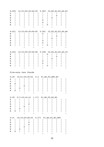| $6 - 220$<br>0<br>N<br>N<br>N<br>N<br>N               |   | 12:15:20:30:40:30                 |       | 0.583<br>O<br>0 |                           | C2, E2, A3, E3, A4, E3 |
|-------------------------------------------------------|---|-----------------------------------|-------|-----------------|---------------------------|------------------------|
| N<br>N<br>N<br>N<br>N<br>N                            |   | $6-221$ $12:15:20:30:40:45$ 0.561 |       | O<br>O<br>0     | Ő<br>O                    | C2, E2, A3, E3, A4, B4 |
| $6 - 222$<br>N<br>N<br>N<br>N<br>N<br>N               |   | 12:15:20:30:40:48 0.558           |       | O<br>O          | O<br>O<br>Ő               | C2, E2, A3, E3, A4, C4 |
|                                                       |   | Five-note Jazz Chords             |       |                 |                           |                        |
| $5 - 29$<br>Χ<br>0<br>N<br>0<br>N<br>N<br>L<br>N<br>O |   | 15:21:30:35:42                    |       |                 | $0.4$ F1, B2, F2, G#2, B3 |                        |
| $5 - 30$<br>Χ<br>$\mathsf O$<br>N<br>N<br>N<br>N<br>O | Ő | 5:7:10:14:14<br>O<br>O            | 1.171 |                 | F1, B2, F2, B3, B3        |                        |
| $5 - 31$<br>Χ<br>N<br>N<br>N<br>N<br>N<br>O           | O | 10:14:20:28:35<br>O<br>O<br>O     | 0.571 |                 | F1, B2, F2, B3, D#3       |                        |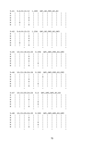| $5 - 41$<br>Χ<br>O<br>N<br>N<br>N<br>N | Ő                        | O<br>$\mathsf O$<br>O |                 | 5:6:9:12:12  1.289  G#1, B2, F#2, B3, B3      |                                      |  |
|----------------------------------------|--------------------------|-----------------------|-----------------|-----------------------------------------------|--------------------------------------|--|
| $5 - 42$<br>X<br>N<br>N<br>N<br>N<br>N | $5:6:9:12:15$ 1.256<br>Ő | O<br>O<br>O<br>I<br>O |                 | $G#1$ , B2, F#2, B3, D#3                      |                                      |  |
| $5 - 45$<br>Χ<br>N<br>N<br>N<br>N<br>N | $10:15:18:24:30$ 0.594   | O<br>O<br>O<br>I<br>O |                 |                                               | $G#1$ , $D#2$ , $F#2$ , $B3$ , $D#3$ |  |
| $5 - 46$<br>Χ<br>N<br>N<br>N<br>N<br>N | 10:15:18:24:36 0.583     | O<br>O<br>O           | O               | G#1,D#2,F#2,B3,F#3<br>O                       |                                      |  |
| Χ<br>$\mathbf O$<br>N<br>N<br>N<br>N   |                          | O<br>O                | O<br>O          | 5-47 10:15:20:24:24 0.6 G#1, D#2, G#2, B3, B3 |                                      |  |
| $5 - 48$<br>Χ<br>N<br>N<br>N<br>N<br>N | 10:15:20:24:30           | O<br>O<br>O           | 0.583<br>0<br>O |                                               | $G#1$ , $D#2$ , $G#2$ , $B3$ , $D#3$ |  |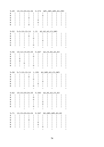| $5 - 49$<br>Χ<br>N<br>N<br>N<br>N<br>N           | 10:15:20:24:36<br>Ő<br>O                                           | O<br>O     | $0.572$ G#1, D#2, G#2, B3, F#3<br>Ő |  |
|--------------------------------------------------|--------------------------------------------------------------------|------------|-------------------------------------|--|
| $5 - 52$<br>Χ<br>N<br>N<br>N<br>O<br>N           | 5:5:10:12:14<br>O<br>Ő<br>O                                        | 1.31       | A2, A2, A3, C3, D#3                 |  |
| $5 - 56$<br>X<br>N<br>N<br>N<br>N<br>N           | 10:12:15:20:30<br>O<br>O<br>O<br>Ő                                 | 0.667<br>Ő | A2, C2, E2, A3, E3                  |  |
| $5 - 58$<br>Χ<br>N<br>N<br>N<br>N<br>N           | 5:7:10:12:14<br>0<br>Ő<br>O                                        | 1.195<br>0 | A2, D#2, A3, C3, D#3<br>Ő           |  |
| $5 - 62$<br>Χ<br>N<br>N<br>N<br>N<br>N           | 10:15:20:24:30  0.583  A2, E2, A3, C3, E3<br>$\mathsf O$<br>O<br>O |            | O<br>O                              |  |
| $5 - 71$<br>Χ<br>$\mathsf O$<br>N<br>N<br>N<br>N | 12:15:20:24:24  0.567  B2, D#2, G#2, B3, B3<br>O                   | O<br>O     | O                                   |  |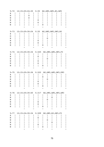| $5 - 72$<br>Χ<br>N<br>N<br>N<br>N<br>N | 12:15:20:24:30 | 0.55<br>O<br>O<br>O<br>O              | B2, D#2, G#2, B3, D#3<br>Ő            |
|----------------------------------------|----------------|---------------------------------------|---------------------------------------|
| $5 - 73$<br>Χ<br>O<br>N<br>N<br>N<br>N |                | $12:15:20:30:24$ 0.55<br>O<br>0       | B2, D#2, G#2, D#3, B3<br>0            |
| $5 - 74$<br>X<br>N<br>N<br>N<br>N<br>N |                | $12:15:20:30:34$ 0.525<br>O<br>0<br>O | B2, D#2, G#2, D#3, F3<br>O<br>Ő       |
| $5 - 75$<br>X<br>N<br>N<br>N<br>N<br>N |                | $12:15:20:30:36$ 0.522<br>Ω<br>O      | B2, D#2, G#2, D#3, F#3<br>0<br>O      |
| $5 - 76$<br>Χ<br>N<br>N<br>N<br>N<br>N |                | $12:15:20:30:40$ 0.517<br>O<br>O      | B2, D#2, G#2, D#3, G#3<br>O<br>O<br>O |
| $5 - 77$<br>Χ<br>N<br>N<br>N<br>N<br>N |                | $12:15:24:30:34$ 0.509<br>O<br>O      | B2, D#2, B3, D#3, F3<br>O<br>О<br>O   |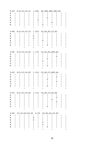| $5 - 83$<br>Χ<br>O<br>N<br>N<br>N<br>N                   | 6:9:10:15:12         | Ő               | 1.056 B2, $F#2$ , $G#2$ , $D#3$ , B3<br>Ő<br>O |
|----------------------------------------------------------|----------------------|-----------------|------------------------------------------------|
| $5 - 88$<br>Χ<br>N<br>N<br>N<br>O<br>N                   | 6:5:10:12:15         | 1.233<br>O<br>O | C2, A2, A3, C3, E3<br>Ő<br>O                   |
| $5 - 90$<br>Χ<br>N<br>N<br>N<br>O<br>N                   | $6:5:10:14:20$ 1.176 |                 | C2, A2, A3, D#3, A4<br>O<br>O<br>Ő<br>O        |
| $5 - 92$<br>Χ<br>N<br>N<br>N<br>O<br>N                   | 6:5:12:14:20         | 1.143           | C2, A2, C3, D#3, A4<br>O<br>Ő<br>O<br>O        |
| $5 - 93$<br>X<br>${\bf N}$<br>N<br>N<br>$\mathsf O$<br>N | $6:5:12:15:20$ 1.133 |                 | C2, A2, C3, E3, A4<br>O<br>0<br>L<br>O<br>O    |
| $5 - 95$<br>Χ<br>N<br>N<br>N<br>N<br>N                   | 12:15:20:24:30       | 0.55<br>O<br>O  | C2, E2, A3, C3, E3<br>O<br>O<br>$\mathsf O$    |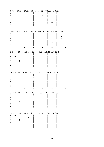| $5 - 95$<br>Χ<br>N<br>N<br>N<br>N<br>N                 | $15:21:30:35:42$ 0.4 C2, $F#2$ , C3, D#3, F#3<br>O<br>Ő<br>O<br>O<br>0                          |
|--------------------------------------------------------|-------------------------------------------------------------------------------------------------|
| $5 - 96$<br>Χ<br>N<br>N<br>N<br>N<br>N                 | $10:14:20:28:35$ 0.571<br>C2, F#2, C3, F#3, A#4<br>0<br>0<br>0<br>O<br>0                        |
| O<br>N<br>O<br>N<br>N<br>0<br>Χ                        | 5-103 10:15:20:24:30 0.583<br>A2, E2, A3, C3, E3<br>O<br>0                                      |
| O<br>N<br>N<br>N<br>0<br>Χ                             | 5-106 10:15:24:30:30 0.55<br>A2, E2, C3, E3, E3<br>O<br>0<br>O                                  |
| N<br>N<br>N<br>N<br>$\mathsf O$<br>X                   | $5-108$ $10:15:24:30:40$<br>0.533<br>A2, E2, C3, E3, A4<br>$\mathsf O$<br>$\mathsf O$<br>O<br>O |
| $5 - 109$<br>N<br>O<br>N<br>N<br>N<br>$\mathsf O$<br>X | $5:8:10:14:16$ 1.118<br>A2, F2, A3, D#3, F3<br>O<br>O<br>O                                      |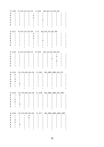| $5 - 120$<br>0<br>N<br>N<br>N<br>O<br>Χ                     | $5:10:12:15:15$ 1.033<br>O<br>O            | A2, A3, C3, E3, E3                                          |
|-------------------------------------------------------------|--------------------------------------------|-------------------------------------------------------------|
| N<br>N<br>N<br>N<br>O<br>X                                  | $5-121$ $5:10:12:15:20$ 1.0<br>O<br>O<br>0 | A2, A3, C3, E3, A4                                          |
| O<br>N<br>N<br>N<br>O<br>Χ                                  |                                            | 5-130 5:12:15:20:15 0.933 A2, C3, E3, A4, E3<br>Ő<br>O<br>O |
| $5 - 134$<br>N<br>O<br>0<br>N<br>0<br>O<br>N<br>N<br>X      | $12:15:20:24:34$ 0.542<br>0                | B2, D#2, G#2, B3, F3                                        |
| $5 - 135$<br>N<br>$\mathsf O$<br>N<br>O<br>N<br>O<br>N<br>X | O<br>Ő                                     | $12:15:20:24:36$ 0.539 B2, D#2, G#2, B3, F#3                |
| $5 - 136$<br>N<br>N<br>N<br>0<br>O<br>N<br>N<br>X           | $12:15:20:30:40$ 0.517<br>O<br>O<br>O      | B2, D#2, G#2, D#3, G#3                                      |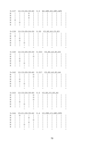| $5 - 137$<br>N<br>N<br>N<br>N<br>O<br>N<br>Χ | 12:15:24:30:40<br>O<br>$\mathsf O$<br>O<br>O                              | 0.5<br>B2, D#2, B3, D#3, G#3                  |
|----------------------------------------------|---------------------------------------------------------------------------|-----------------------------------------------|
| $5 - 139$<br>0<br>N<br>O<br>N<br>N<br>N<br>Χ | 12:15:20:24:30<br>0<br>O<br>O                                             | 0.55<br>C2, E2, A3, C3, E3                    |
| $5 - 140$<br>0<br>N<br>N<br>N<br>N<br>Χ      | 12:15:20:30:30<br>O<br>O<br>O<br>Ő                                        | 0.533<br>C2, E2, A3, E3, E3                   |
| $5 - 142$<br>N<br>N<br>N<br>N<br>N<br>Χ      | 12:15:20:30:40<br>O<br>O<br>0<br>O<br>0                                   | 0.517<br>C2, E2, A3, E3, A4                   |
| N<br>N<br>N<br>N<br>N<br>Χ                   | $5-143$ $12:15:24:30:40$ 0.5<br>O<br>$\mathsf O$<br>$\mathsf O$<br>0<br>O | C2, E2, C3, E3, A4                            |
| $5 - 144$<br>N<br>N<br>N<br>N<br>N<br>X      | O<br>0<br>0<br>O<br>O                                                     | $15:21:30:35:42$ 0.4 C2, $F#2$ , C3, D#3, F#3 |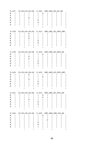| $5 - 157$<br>N<br>O<br>N<br>N<br>N<br>X | 15:20:24:24:48                        | $0.442$ D#2, G#2, B3, B3, B4<br>O<br>O<br>O                  |
|-----------------------------------------|---------------------------------------|--------------------------------------------------------------|
| $5 - 158$<br>N<br>N<br>N<br>N<br>N<br>Χ | $15:20:24:30:40$ 0.433<br>0<br>0<br>0 | D#2, G#2, B3, D#3, G#3<br>O<br>O                             |
| $5 - 159$<br>N<br>N<br>N<br>N<br>N<br>Χ | $15:20:24:30:48$ 0.425<br>0<br>0      | D#2,G#2,B3,D#3,B4<br>Ő<br>Ő<br>O                             |
| $5 - 160$<br>N<br>N<br>N<br>N<br>N<br>Χ | 15:20:24:36:40<br>O<br>Ő              | 0.422<br>$D#2$ , $G#2$ , $B3$ , $F#3$ , $G#3$<br>O<br>Ő<br>O |
| N<br>N<br>N<br>N<br>N<br>Χ              | 5-161 15:20:24:36:48 0.414<br>O       | $D#2$ , G#2, B3, F#3, B4<br>O<br>O<br>O<br>O                 |
| $5 - 162$<br>N<br>O<br>N<br>N<br>N<br>X | 15:20:30:24:48                        | 0.425<br>D#2,G#2,D#3,B3,B4<br>O<br>Ő<br>0<br>O               |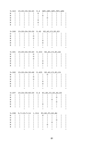| $5 - 163$<br>N<br>N<br>N<br>N<br>N<br>Χ | 15:20:30:36:45                                  | 0.4<br>O<br>O<br>$\mathsf O$ | $D#2$ , $G#2$ , $D#3$ , $F#3$ , $A#4$<br>Ő |        |
|-----------------------------------------|-------------------------------------------------|------------------------------|--------------------------------------------|--------|
| O<br>N<br>N<br>N<br>N<br>Χ              | $5-180$ $15:20:24:30:30$                        | 0.45<br>O<br>O               | E2, A3, C3, E3, E3<br>O<br>O               |        |
| N<br>N<br>N<br>N<br>N<br>Χ              | 5-181 15:20:24:30:40 0.433                      | O<br>O<br>O                  | E2, A3, C3, E3, A4<br>O<br>O               |        |
| $5 - 182$<br>N<br>N<br>N<br>N<br>N<br>Χ | 15:20:24:30:48                                  | 0.425<br>0<br>O              | E2, A3, C3, E3, C4<br>O<br>Ő<br>0          |        |
| 0<br>N<br>N<br>N<br>N<br>X              | 5-197 15:24:30:40:30 0.4 E1, E2, C3, E3, A4, E3 |                              | 0<br>O                                     | 0<br>0 |
| $5 - 198$<br>N<br>O<br>N<br>N<br>N<br>X | 5:7:10:7:14                                     | 1.314                        | F2, B3, F3, B3, B4<br>0<br>Ő<br>O          | O      |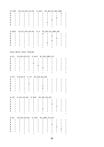| $5 - 199$<br>N<br>O<br>N<br>N<br>N<br>Χ          |                              | 10:14:20:14:35  0.643  F2, B3, F3, B3, D#4    | O                             | υ<br>Ő      | Ő |
|--------------------------------------------------|------------------------------|-----------------------------------------------|-------------------------------|-------------|---|
| N<br>N<br>N<br>N<br>N<br>Χ                       | $5-200$ $15:21:30:35:42$ 0.4 |                                               | F2, B3, F3, G#3, B4<br>O<br>O | Ő<br>Ő<br>O |   |
|                                                  | Four-Note Jazz Chords        |                                               |                               |             |   |
| $4 - 21$<br>Χ<br>X<br>N<br>N<br>N<br>O           |                              | 10:20:25:32  0.443  E1, E2, G#2, C3<br>O<br>O | Ő                             |             |   |
|                                                  |                              | 4-23 3:6:8:9 1.27 E1, E2, A3, B3              |                               |             |   |
| Χ<br>Χ<br>N<br>N<br>N<br>O                       | Ő                            |                                               | Ő                             |             |   |
| $4 - 30$                                         |                              | 5:10:16:20  0.825  E1, E2, C3, E3             |                               |             |   |
| Χ<br>$\mathbf X$<br>N<br>N<br>N<br>$\mathsf O$   |                              |                                               | Ő                             | O<br>O      |   |
| $4 - 41$<br>Χ<br>X<br>N<br>N<br>N<br>$\mathsf O$ | $10:25:32:40$ 0.393          |                                               | E1, G#2, C3, E3               | O<br>O      | O |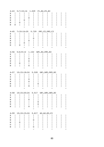| $4 - 43$<br>Χ<br>X<br>N<br>N<br>N<br>N<br>O      | 5:7:10:14<br>Ő<br>O                              | 1.029<br>Ő  | F1, B2, F2, B3      |                   |  |
|--------------------------------------------------|--------------------------------------------------|-------------|---------------------|-------------------|--|
| Χ<br>Χ<br>N<br>N<br>N<br>N                       | 4-45 7:10:14:20 0.729 F#1, C2, F#2, C3<br>0<br>O | Ő<br>O      |                     |                   |  |
| Χ<br>X<br>N<br>N<br>N<br>N                       | $4-56$ 5:6:9:12 1.122<br>Ő                       | O<br>O<br>O | $G#1$ , B2, F#2, B3 |                   |  |
| $4 - 57$<br>Χ<br>Χ<br>N<br>N<br>N<br>N           | $10:15:18:24$ 0.528                              | O<br>O<br>O | O                   | G#1, D#2, F#2, B3 |  |
| $4 - 58$<br>X<br>X<br>N<br>N<br>N<br>N           | 10:15:20:24  0.517  G#1, D#2, G#2, B3            | O<br>0      | O<br>O              |                   |  |
| $4 - 59$<br>Χ<br>Χ<br>N<br>N<br>$\mathbf O$<br>N | $10:10:15:24$ 0.617<br>O                         | O<br>O      | A2, A2, E2, C3      |                   |  |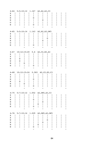| $4 - 64$    | 5:5:10:12              | 1.167 | A2, A2, A3, C3   |  |
|-------------|------------------------|-------|------------------|--|
| X           |                        |       |                  |  |
| X           |                        |       |                  |  |
| N           |                        | O     |                  |  |
| N           |                        |       | O                |  |
| O           |                        |       |                  |  |
| N           |                        | O     |                  |  |
|             |                        |       |                  |  |
|             |                        |       |                  |  |
| $4 - 65$    | 5:5:10:14              | 1.143 | A2, A2, A3, D#3  |  |
| X           |                        |       |                  |  |
| X           |                        |       |                  |  |
| N           |                        |       | O                |  |
| N           |                        |       | O                |  |
| $\mathsf O$ |                        |       |                  |  |
| N           |                        | O     |                  |  |
|             |                        |       |                  |  |
|             |                        |       |                  |  |
| $4 - 67$    | $10:12:15:20$ 0.6      |       | A2, C2, E2, A3   |  |
| X           |                        |       |                  |  |
| X           |                        |       |                  |  |
|             |                        |       |                  |  |
| N           | O                      |       |                  |  |
| N           | O                      |       |                  |  |
| N           | O                      |       |                  |  |
| N           |                        | O     |                  |  |
|             |                        |       |                  |  |
|             |                        |       |                  |  |
|             |                        |       |                  |  |
| $4 - 68$    | $10:12:15:24$ 0.583    |       | A2, C2, E2, C3   |  |
| X           |                        |       |                  |  |
| X           |                        |       |                  |  |
| N           |                        | O     |                  |  |
| N           | O                      |       |                  |  |
| N           | O                      |       |                  |  |
| N           |                        | O     |                  |  |
|             |                        |       |                  |  |
|             |                        |       |                  |  |
|             | $4-75$ 5:7:10:12 1.052 |       | A2, D#2, A3, C3  |  |
| X           |                        |       |                  |  |
| X           |                        |       |                  |  |
| N           |                        | O     |                  |  |
| N           |                        |       | O                |  |
| N           |                        |       | 0                |  |
| N           |                        | O     |                  |  |
|             |                        |       |                  |  |
|             |                        |       |                  |  |
| $4 - 76$    | 5:7:10:14              | 1.029 | A2, D#2, A3, D#3 |  |
| X           |                        |       |                  |  |
| X           |                        |       | O                |  |
| N           |                        |       |                  |  |
| N           |                        |       | O                |  |
| N<br>N      |                        | O     | O                |  |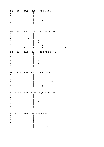| $4 - 80$         | $10:15:20:24$ 0.517 | A2, E2, A3, C3                          |  |
|------------------|---------------------|-----------------------------------------|--|
| Χ                |                     |                                         |  |
| X                |                     |                                         |  |
| N<br>N           |                     | Ő<br>O                                  |  |
| N                |                     | O                                       |  |
| N                |                     | O                                       |  |
|                  |                     |                                         |  |
|                  |                     |                                         |  |
| $4 - 92$         | $12:15:20:24$ 0.483 | B2, D#2, G#2, B3                        |  |
| Χ                |                     |                                         |  |
| X                |                     |                                         |  |
| N                | Ő                   |                                         |  |
| N                |                     | O                                       |  |
| N                |                     | O                                       |  |
| N                |                     | O                                       |  |
|                  |                     |                                         |  |
| $4 - 93$         |                     | 12:15:20:30  0.467  B2, D#2, G#2, D#3   |  |
| Χ                |                     |                                         |  |
| X                |                     |                                         |  |
| N                |                     | O                                       |  |
| N                |                     | O                                       |  |
| N                |                     | O                                       |  |
| N                |                     | Ő                                       |  |
|                  |                     |                                         |  |
|                  |                     |                                         |  |
| $4 - 98$         | $7:10:14:20$ 0.729  | B2, F2, B3, F3                          |  |
| Χ                |                     |                                         |  |
| Χ                |                     |                                         |  |
| N                |                     | O                                       |  |
| N                |                     | O                                       |  |
| N                |                     | O                                       |  |
| N                |                     | O                                       |  |
|                  |                     |                                         |  |
|                  |                     | 4-100 6:9:10:15 0.889 B2, F#2, G#2, D#3 |  |
| X                |                     |                                         |  |
| X                |                     |                                         |  |
| N                |                     | O                                       |  |
| N                |                     | O                                       |  |
| N                |                     | O                                       |  |
| N                |                     | O                                       |  |
|                  |                     |                                         |  |
| $4 - 105$        | 6:5:10:12           | 1.1<br>C2, A2, A3, C3                   |  |
| X                |                     |                                         |  |
| $\mathbf X$      |                     |                                         |  |
| N                |                     | 0                                       |  |
| N                |                     | O                                       |  |
| $\mathsf O$<br>N |                     | O                                       |  |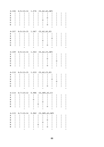| $4 - 106$<br>Χ<br>X<br>N<br>N<br>$\mathsf O$<br>N | $6:5:10:14$ 1.076           |       | C2, A2, A3, D#3<br>O<br>O<br>O                      |
|---------------------------------------------------|-----------------------------|-------|-----------------------------------------------------|
| X<br>X<br>N<br>N<br>$\mathsf O$<br>N              |                             |       | 4-107 6:5:10:15 1.067 C2, A2, A3, E3<br>O<br>O<br>O |
| Χ<br>X<br>N<br>N<br>$\mathsf O$<br>N              | $4-109$ $6:5:12:14$ $1.043$ |       | C2, A2, C3, D#3<br>O<br>O<br>O                      |
| X<br>X<br>N<br>N<br>O<br>N                        | $4-110$ $6:5:12:15$ $1.033$ |       | C2, A2, C3, E3<br>O<br>O<br>O                       |
| X<br>X<br>N<br>N<br>N<br>N                        | $4-114$ $6:7:10:12$ 0.986   | 0     | C2, D#2, A3, C3<br>O<br>O<br>0                      |
| $4 - 115$<br>X<br>X<br>N<br>N<br>N<br>N           | 6:7:10:14                   | 0.962 | C2, $D#2$ , A3, $D#3$<br>O<br>0<br>O<br>O           |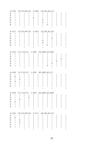| $4 - 120$<br>X<br>X<br>N<br>N<br>N<br>N                          | 12:15:20:24  0.483  C2, E2, A3, C3     | O     | O<br>O<br>O                   |             |
|------------------------------------------------------------------|----------------------------------------|-------|-------------------------------|-------------|
| $4 - 121$<br>X<br>X<br>N<br>N<br>N<br>N                          | $12:15:20:30$ 0.467                    |       | C2, E2, A3, E3<br>0<br>O<br>O | Ő           |
| X<br>X<br>$\, {\bf N}$<br>N<br>N<br>N                            | 4-122 5:7:10:14 1.029 C2, F#2, C3, F#3 |       | O                             | 0<br>O<br>O |
| X<br>N<br>O<br>N<br>N<br>O<br>O<br>X                             | $4-148$ 5:7:10:12<br>0                 |       | 1.052 $A2, D#2, A3, C3$       |             |
| X<br>$\mathbf N$<br>N<br>N<br>O<br>${\mathsf o}$<br>X            | $4-149$ $5:7:10:14$<br>O<br>O          | 1.029 | A2, D#2, A3, D#3              |             |
| $4 - 152$<br>X<br>${\bf N}$<br>O<br>N<br>N<br>${\mathsf o}$<br>Χ | $10:15:20:24$ 0.517<br>0<br>O          |       | A2, E2, A3, C3                |             |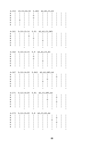| $4 - 153$<br>Χ<br>N<br>N<br>N<br>$\mathsf O$<br>Χ                             | 10:15:24:30<br>O            | 0.483<br>A2, E2, C3, E3<br>O<br>0 |        |
|-------------------------------------------------------------------------------|-----------------------------|-----------------------------------|--------|
| $4 - 161$<br>Χ<br>N<br>N<br>N<br>$\mathsf O$<br>Χ                             | 5:10:12:14<br>O             | 0.91<br>A2, A3, C3, D#3<br>O<br>O |        |
| Χ<br>N<br>N<br>N<br>$\mathsf O$<br>Χ                                          | $4-162$ 5:10:12:15 0.9      | A2, A3, C3, E3<br>0<br>O<br>O     |        |
| X<br>N<br>N<br>N<br>O<br>Χ                                                    | $4-167$ $5:10:14:20$ 0.843  | A2, A3, D#3, A4<br>O<br>O         | O      |
| X<br>${\bf N}$<br>${\tt N}$<br>N<br>${\mathsf o}$<br>$\mathbf X$              | $4-171$ $5:12:14:20$ $0.81$ | A2, C3, D#3, A4<br>O              | О<br>O |
| $4 - 173$<br>X<br>${\bf N}$<br>$\mathbf N$<br>${\bf N}$<br>${\mathsf o}$<br>X | $5:12:15:20$ 0.8            | A2, C3, E3, A4<br>O               | O<br>O |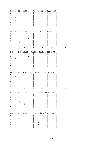| $4 - 178$<br>Χ<br>O<br>N<br>O<br>O<br>N<br>N<br>Χ              | 12:15:20:24<br>O                             | 0.483<br>B2, D#2, G#2, B3         |  |
|----------------------------------------------------------------|----------------------------------------------|-----------------------------------|--|
| $4 - 179$<br>Χ<br>$\mathsf O$<br>N<br>N<br>N<br>X              | 7:10:14:14 0.771<br>O<br>O<br>O              | B2, F2, B3, B3                    |  |
| $4 - 180$<br>Χ<br>N<br>N<br>O<br>N<br>N<br>X                   | $6:9:10:15$ 0.889<br>O<br>O<br>Ő             | B2, F#2, G#2, D#3                 |  |
| $4 - 182$<br>X<br>N<br>0<br>N<br>N<br>N<br>Χ                   | 12:15:20:24<br>O<br>O<br>Ő                   | 0.483<br>C2, E2, A3, C3           |  |
| $4 - 183$<br>X<br>${\rm N}$<br>N<br>N<br>N<br>X                | $12:15:20:30$ 0.467<br>O<br>$\mathsf O$<br>O | C2, E2, A3, E3<br>O               |  |
| $4 - 204$<br>X<br>${\mathsf o}$<br>$\, {\rm N}$<br>N<br>N<br>X | 15:20:24:24<br>O                             | D#2, G#2, B3, B3<br>0.4<br>O<br>O |  |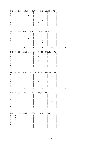|             | $4-205$ $7:10:12:14$ 0.795 | D#2, A3, C3, D#3                      |  |
|-------------|----------------------------|---------------------------------------|--|
| Χ           |                            |                                       |  |
| N           | Ő                          |                                       |  |
| N<br>N      |                            | O                                     |  |
| N           |                            | O                                     |  |
| Χ           |                            | Ő                                     |  |
|             |                            |                                       |  |
|             |                            |                                       |  |
|             | $4-224$ $6:8:9:12$ 0.972   | E2, A3, B3, E3                        |  |
| Χ           |                            |                                       |  |
| N           |                            | O                                     |  |
| N           | Ő                          |                                       |  |
| N           |                            | O                                     |  |
| N           |                            | O                                     |  |
| Χ           |                            |                                       |  |
|             |                            |                                       |  |
| $4 - 237$   | $12:14:21:24$ 0.488        | F2, G#2, D#3, F3                      |  |
| Χ           |                            |                                       |  |
| N           |                            | O                                     |  |
| N           |                            | O                                     |  |
| N           |                            | O                                     |  |
| N           |                            | O                                     |  |
| Χ           |                            |                                       |  |
|             |                            |                                       |  |
|             |                            |                                       |  |
|             |                            |                                       |  |
| $4 - 238$   |                            | 12:14:21:28  0.476  F2, G#2, D#3, G#3 |  |
| Χ           |                            |                                       |  |
| N           |                            | Ő<br>O                                |  |
| N<br>N      |                            | Ő                                     |  |
| N           |                            | O                                     |  |
| X           |                            |                                       |  |
|             |                            |                                       |  |
|             |                            |                                       |  |
|             |                            | 4-239 5:7:10:7 1.171 F2, B3, F3, B3   |  |
| Χ           |                            |                                       |  |
| $\mathsf O$ |                            |                                       |  |
| N           |                            | O<br>O                                |  |
| N<br>N      |                            | O                                     |  |
| X           |                            |                                       |  |
|             |                            |                                       |  |
|             |                            |                                       |  |
| $4 - 271$   | $6:7:9:12$ 1.008           | F2, G#2, C3, F3                       |  |
| O<br>N      |                            |                                       |  |
| N<br>O      |                            |                                       |  |
| N<br>O      |                            |                                       |  |
| N           | O                          |                                       |  |
| X<br>X      |                            |                                       |  |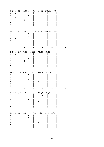| $4 - 272$<br>N<br>O<br>N<br>$\mathsf O$<br>N<br>N<br>X<br>X | 12:14:21:24<br>O<br>O                          | 0.488    | F2, G#2, D#3, F3     |  |
|-------------------------------------------------------------|------------------------------------------------|----------|----------------------|--|
| N<br>N<br>N<br>O<br>N<br>X<br>X                             | $4-273$ $12:14:21:28$<br>O<br>0<br>Ő           | 0.476    | F2, G#2, D#3, G#3    |  |
| N<br>O<br>O<br>N<br>N<br>X<br>X                             | $4-274$ 5:7:7:10 1.171<br>0<br>O               |          | F2, B3, B3, F3       |  |
| $4 - 301$<br>N<br>O<br>N<br>N<br>Χ<br>X                     | 5:6:6:10<br>1.267<br>O<br>O                    | Ő        | G#2, B3, B3, G#3     |  |
| N<br>${\mathsf o}$<br>N<br>N<br>X<br>X                      | $4-302$ $5:6:6:12$ $1.233$<br>0                | O        | G#2, B3, B3, B4<br>O |  |
| $4 - 303$<br>N<br>N<br>N<br>N<br>X<br>X                     | 10:12:15:20<br>$\mathsf O$<br>$\mathsf O$<br>O | 0.6<br>O | $G#2$ , B3, D#3, G#3 |  |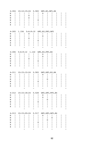| $4 - 304$ | 10:12:15:24                 | G#2, B3, D#3, B4<br>0.583          |  |
|-----------|-----------------------------|------------------------------------|--|
| N         |                             | Ő                                  |  |
| N         | O                           |                                    |  |
| N         | O                           |                                    |  |
|           |                             |                                    |  |
| N         |                             | O                                  |  |
| X         |                             |                                    |  |
| X         |                             |                                    |  |
|           |                             |                                    |  |
|           |                             |                                    |  |
| $4 - 305$ |                             | 1.156 $5:6:9:10$ G#2, B3, F#3, G#3 |  |
| N         | O                           |                                    |  |
|           |                             |                                    |  |
| N         |                             | Ő                                  |  |
| N         | O                           |                                    |  |
| N         |                             | Ő                                  |  |
| X         |                             |                                    |  |
| X         |                             |                                    |  |
|           |                             |                                    |  |
|           |                             |                                    |  |
| $4 - 306$ | $5:6:9:12$ 1.122            | G#2, B3, F#3, B4                   |  |
|           |                             |                                    |  |
| N         |                             | O                                  |  |
| N         |                             | O                                  |  |
| N         | O                           |                                    |  |
| N         |                             | O                                  |  |
| X         |                             |                                    |  |
| X         |                             |                                    |  |
|           |                             |                                    |  |
|           |                             |                                    |  |
|           |                             |                                    |  |
|           |                             |                                    |  |
| $4 - 311$ | $10:15:12:24$ 0.583         | G#2, D#3, B3, B4                   |  |
| N         |                             | O                                  |  |
| O         |                             |                                    |  |
| N         |                             | Ο                                  |  |
| N         |                             | Ő                                  |  |
|           |                             |                                    |  |
| Χ         |                             |                                    |  |
| X         |                             |                                    |  |
|           |                             |                                    |  |
|           |                             |                                    |  |
|           | $4-312$ $10:15:18:24$ 0.528 | $G#2$ , $D#3$ , $F#3$ , $B4$       |  |
| N         |                             | O                                  |  |
| ${\rm N}$ |                             | O                                  |  |
| N         |                             | O                                  |  |
|           |                             | 0                                  |  |
| N         |                             |                                    |  |
| X         |                             |                                    |  |
| X         |                             |                                    |  |
|           |                             |                                    |  |
|           |                             |                                    |  |
| $4 - 313$ | $10:15:20:24$ 0.517         | $G#2$ , $D#3$ , $G#3$ , $B4$       |  |
| N         |                             | O                                  |  |
| N         |                             | O                                  |  |
| N         |                             | O                                  |  |
| N         |                             | 0                                  |  |
|           |                             |                                    |  |
| X<br>X    |                             |                                    |  |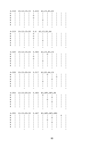| $4 - 318$<br>O<br>N<br>N<br>N<br>X<br>X           | 10:12:15:15         | 0.633<br>O<br>O              | A3, C3, E3, E3<br>O                                            |
|---------------------------------------------------|---------------------|------------------------------|----------------------------------------------------------------|
| $4 - 319$<br>N<br>N<br>N<br>N<br>X<br>X           | 10:12:15:20         | 0.6<br>$\mathsf O$<br>O<br>O | A3, C3, E3, A4<br>O                                            |
| $4 - 320$<br>N<br>N<br>N<br>N<br>X<br>X           | $10:12:15:24$ 0.583 | O<br>O                       | A3, C3, E3, C4<br>O                                            |
| $4 - 328$<br>N<br>N<br>N<br>N<br>Χ<br>X           | $10:15:20:24$ 0.517 |                              | A3, E3, A4, C4<br>O<br>O<br>O<br>O                             |
| N<br>$\mathbf N$<br>N<br>N<br>X<br>X              |                     |                              | $4-354$ 12:15:20:24 0.483 B3, D#3, G#3, B4<br>O<br>0<br>0<br>O |
| $4 - 355$<br>N<br>$\mathbf N$<br>N<br>N<br>X<br>X |                     |                              | 12:15:20:30  0.467  B3, D#3, G#3, D#4<br>O<br>O<br>0<br>0      |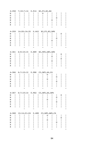| $4 - 358$<br>N   | 7:10:7:14                 | 0.914 | B3, F3, B3, B4<br>Ő  |   |   |  |
|------------------|---------------------------|-------|----------------------|---|---|--|
| $\mathbf O$<br>N |                           |       |                      | O |   |  |
| N                |                           |       | O                    |   |   |  |
| X<br>X           |                           |       |                      |   |   |  |
|                  |                           |       |                      |   |   |  |
| $4 - 359$        | $14:20:14:35$ 0.443       |       | B3, F3, B3, D#4      |   |   |  |
| N<br>O           |                           |       |                      |   | O |  |
| N<br>N           |                           |       | Ő                    | O |   |  |
| X                |                           |       |                      |   |   |  |
| X                |                           |       |                      |   |   |  |
|                  | $4-361$ $6:9:10:15$ 0.889 |       | B3, F#3, G#3, D#4    |   |   |  |
| N<br>N           |                           |       | O                    |   | O |  |
| N                |                           |       |                      |   | O |  |
| N<br>X           |                           |       | O                    |   |   |  |
| X                |                           |       |                      |   |   |  |
|                  |                           |       |                      |   |   |  |
|                  |                           |       |                      |   |   |  |
| N                | $4-366$ $6:7:10:12$ 0.986 |       | C3, D#3, A4, C4<br>O |   |   |  |
| N                |                           |       | O                    | O |   |  |
| N<br>N           |                           |       |                      | O |   |  |
| Χ<br>X           |                           |       |                      |   |   |  |
|                  |                           |       |                      |   |   |  |
|                  | $4-367$ $6:7:10:14$ 0.962 |       | C3, D#3, A4, D#4     |   |   |  |
| N<br>${\bf N}$   |                           |       |                      | O | 0 |  |
| N<br>N           |                           |       | O                    | O |   |  |
| X                |                           |       |                      |   |   |  |
| X                |                           |       |                      |   |   |  |
| $4 - 368$        | $12:14:21:24$ 0.488       |       | C3, D#3, A#4, C4     |   |   |  |
| N<br>N           |                           |       | O                    |   | 0 |  |
| N                |                           |       | O                    |   |   |  |
| N<br>X<br>X      |                           |       |                      | O |   |  |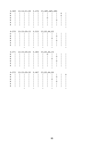| $4 - 369$                                       | 12:14:21:28                        | 0.476 | C3, D#3, A#4, D#4                  |   |
|-------------------------------------------------|------------------------------------|-------|------------------------------------|---|
| N<br>$\rm N$<br>N<br>N<br>X<br>X                |                                    |       | O<br>O<br>Ő                        |   |
| $4 - 370$<br>O<br>N<br>N<br>N<br>X<br>X         | $12:15:20:15$ 0.533                |       | C3, E3, A4, E3<br>O<br>O<br>O      |   |
| $4 - 371$<br>${\tt N}$<br>N<br>N<br>N<br>X<br>X | $12:15:20:24$ 0.483                |       | C3, E3, A4, C4<br>O<br>O<br>O<br>0 |   |
| $4 - 372$<br>N<br>N<br>N<br>N<br>X<br>X         | 12:15:20:30  0.467  C3, E3, A4, E4 |       | 0<br>O<br>O                        | O |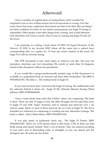## Afterword

 I have a number of original ideas on tuning theory and I wouldn't be surprised if one or two of them turned out to be inaccurate or wrong. Over the years I have had many conjectures that turned out later to be false. But one thing I am fairly confident of is that, for my intents and purposes, my Eagle 53 tuning is unbeatable. Other people want other things from a tuning, and would therefore look elsewhere, but I know exactly what I want in a tuning and Eagle 53 ticks all the boxes.

 I am planning on writing a book about 19 EDO (19 Equal Divisions of the Octave). 19 EDO is my favorite EDO where all the notes (not a subset) have corresponding frets on a guitar (i.e. 19 frets per octave instead of the usual 12). Eagle 53 is still my favorite tuning.

 This PDF document is free, send copies to whoever you like. You may not reproduce elsewhere any text (exceeding 256 words) or more than 24 diagrams found in this document without my permission.

 If you would like a proper professionally printed copy of this document it is available as a paperback book on Amazon and from other booksellers. The ISBN is 9781838121952. The title is... The Arabian Scale in Eagle 53.

 If you want to know how I arrived at the Eagle 53 tuning, the mathematics and the rationale behind it check out... Eagle 53 My Ultimate Musical Tuning (Third Edition). ISBN 9780956649294

 I have a book about some rules that I follow when I am composing. The book is short. There are only 19 pages of text, the other 80 pages list 96 scales that occur in Eagle 53 and 2196 "legal" harmony and/or melody just intervals over a six octaves range. Many or most of these intervals do *not* occur in Eagle 53. The list is intended as a reference for composing or working out new alternative tunings. The book is called... John's Rules Music. ISBN 9781838121921.

 If you play piano or keyboards check out... The Eagle 53 Pianist. ISBN 9781838121907. There are 2.770 chords listed in this book, 2,750 of them are lush (both strong and clearly rooted). That's a lot of chords. They are ordered according to root notes and in descending order of strengths so you can choose just the strongest ones. 96 scales are also listed.